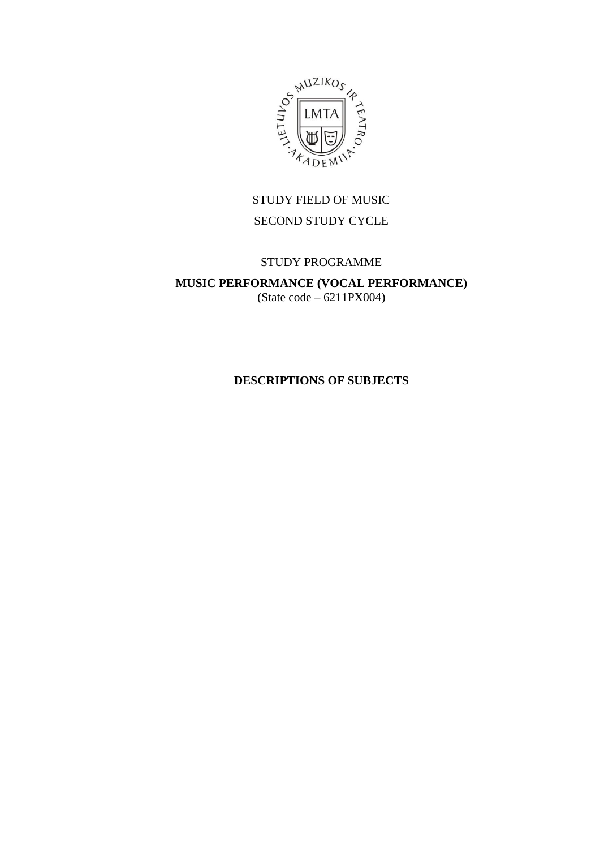

# STUDY FIELD OF MUSIC SECOND STUDY CYCLE

# STUDY PROGRAMME

# **MUSIC PERFORMANCE (VOCAL PERFORMANCE)** (State code – 6211PX004)

# **DESCRIPTIONS OF SUBJECTS**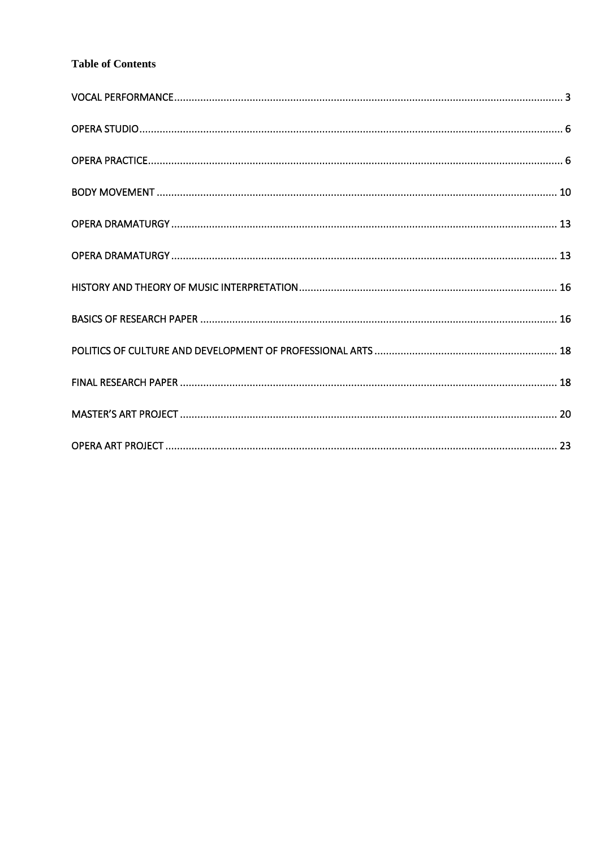# **Table of Contents**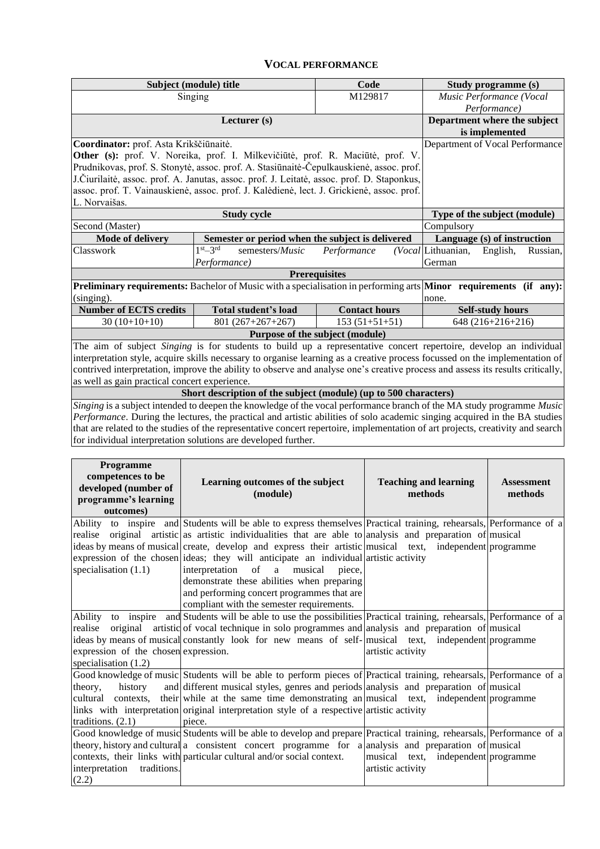# **VOCAL PERFORMANCE**

<span id="page-2-0"></span>

|                                                                                           | Subject (module) title                                                                                                                                                                 | Code                 |                              | Study programme (s) |                                 |
|-------------------------------------------------------------------------------------------|----------------------------------------------------------------------------------------------------------------------------------------------------------------------------------------|----------------------|------------------------------|---------------------|---------------------------------|
|                                                                                           | Singing                                                                                                                                                                                |                      | M129817                      |                     | Music Performance (Vocal        |
|                                                                                           |                                                                                                                                                                                        |                      |                              |                     | Performance)                    |
|                                                                                           | Lecturer (s)                                                                                                                                                                           |                      |                              |                     | Department where the subject    |
|                                                                                           |                                                                                                                                                                                        |                      |                              |                     | is implemented                  |
| Coordinator: prof. Asta Krikščiūnaitė.                                                    |                                                                                                                                                                                        |                      |                              |                     | Department of Vocal Performance |
|                                                                                           | Other (s): prof. V. Noreika, prof. I. Milkevičiūtė, prof. R. Maciūtė, prof. V.                                                                                                         |                      |                              |                     |                                 |
|                                                                                           | Prudnikovas, prof. S. Stonytė, assoc. prof. A. Stasiūnaitė-Čepulkauskienė, assoc. prof.<br>J. Čiurilaitė, assoc. prof. A. Janutas, assoc. prof. J. Leitatė, assoc. prof. D. Staponkus, |                      |                              |                     |                                 |
|                                                                                           |                                                                                                                                                                                        |                      |                              |                     |                                 |
| assoc. prof. T. Vainauskienė, assoc. prof. J. Kalėdienė, lect. J. Grickienė, assoc. prof. |                                                                                                                                                                                        |                      |                              |                     |                                 |
| L. Norvaišas.                                                                             |                                                                                                                                                                                        |                      |                              |                     |                                 |
|                                                                                           |                                                                                                                                                                                        |                      | Type of the subject (module) |                     |                                 |
| Second (Master)                                                                           | Compulsory                                                                                                                                                                             |                      |                              |                     |                                 |
| <b>Mode of delivery</b>                                                                   | Semester or period when the subject is delivered                                                                                                                                       |                      |                              |                     | Language (s) of instruction     |
| Classwork                                                                                 | $1st - 3rd$<br>semesters/Music                                                                                                                                                         | Performance          |                              | (Vocal Lithuanian,  | English,<br>Russian,            |
|                                                                                           | Performance)                                                                                                                                                                           |                      |                              | German              |                                 |
|                                                                                           |                                                                                                                                                                                        | <b>Prerequisites</b> |                              |                     |                                 |
|                                                                                           | <b>Preliminary requirements:</b> Bachelor of Music with a specialisation in performing arts <b>Minor</b> requirements (if any):                                                        |                      |                              |                     |                                 |
| (singing).                                                                                |                                                                                                                                                                                        |                      |                              | none.               |                                 |
| <b>Number of ECTS credits</b>                                                             | Total student's load                                                                                                                                                                   |                      | <b>Contact hours</b>         |                     | <b>Self-study hours</b>         |
| $30(10+10+10)$                                                                            | $801(267+267+267)$                                                                                                                                                                     |                      | $153(51+51+51)$              |                     | $648(216+216+216)$              |
|                                                                                           | Purpose of the subject (module)                                                                                                                                                        |                      |                              |                     |                                 |
|                                                                                           | The aim of subject Singing is for students to build up a representative concert repertoire, develop an individual                                                                      |                      |                              |                     |                                 |
|                                                                                           | interpretation style, acquire skills necessary to organise learning as a creative process focussed on the implementation of                                                            |                      |                              |                     |                                 |
|                                                                                           | contrived interpretation, improve the ability to observe and analyse one's creative process and assess its results critically,                                                         |                      |                              |                     |                                 |
| as well as gain practical concert experience.                                             |                                                                                                                                                                                        |                      |                              |                     |                                 |
|                                                                                           | Short description of the subject (module) (up to 500 characters)                                                                                                                       |                      |                              |                     |                                 |
|                                                                                           | Singing is a subject intended to deepen the knowledge of the vocal performance branch of the MA study programme Music                                                                  |                      |                              |                     |                                 |
|                                                                                           | Performance. During the lectures, the practical and artistic abilities of solo academic singing acquired in the BA studies                                                             |                      |                              |                     |                                 |
|                                                                                           | that are related to the studies of the representative concert repertoire, implementation of art projects, creativity and search                                                        |                      |                              |                     |                                 |
|                                                                                           | for individual interpretation solutions are developed further.                                                                                                                         |                      |                              |                     |                                 |
|                                                                                           |                                                                                                                                                                                        |                      |                              |                     |                                 |
| <b>Programme</b>                                                                          |                                                                                                                                                                                        |                      |                              |                     |                                 |

| <b>Programme</b><br>competences to be<br>developed (number of<br>programme's learning<br>outcomes) | Learning outcomes of the subject<br>(module)                                                                          | <b>Teaching and learning</b><br>methods | <b>Assessment</b><br>methods |
|----------------------------------------------------------------------------------------------------|-----------------------------------------------------------------------------------------------------------------------|-----------------------------------------|------------------------------|
|                                                                                                    | Ability to inspire and Students will be able to express themselves Practical training, rehearsals, Performance of a   |                                         |                              |
|                                                                                                    | realise original artistic as artistic individualities that are able to analysis and preparation of musical            |                                         |                              |
|                                                                                                    | ideas by means of musical create, develop and express their artistic musical text, independent programme              |                                         |                              |
|                                                                                                    | expression of the chosen ideas; they will anticipate an individual artistic activity                                  |                                         |                              |
| specialisation $(1.1)$                                                                             | interpretation of a musical<br>piece.<br>demonstrate these abilities when preparing                                   |                                         |                              |
|                                                                                                    | and performing concert programmes that are                                                                            |                                         |                              |
|                                                                                                    | compliant with the semester requirements.                                                                             |                                         |                              |
| Ability                                                                                            | to inspire and Students will be able to use the possibilities Practical training, rehearsals, Performance of a        |                                         |                              |
|                                                                                                    | realise original artistic of vocal technique in solo programmes and analysis and preparation of musical               |                                         |                              |
|                                                                                                    | ideas by means of musical constantly look for new means of self- musical text, independent programme                  |                                         |                              |
| expression of the chosen expression.                                                               |                                                                                                                       | artistic activity                       |                              |
| specialisation $(1.2)$                                                                             |                                                                                                                       |                                         |                              |
|                                                                                                    | Good knowledge of music Students will be able to perform pieces of Practical training, rehearsals, Performance of a   |                                         |                              |
| theory,<br>history                                                                                 | and different musical styles, genres and periods analysis and preparation of musical                                  |                                         |                              |
|                                                                                                    | cultural contexts, their while at the same time demonstrating an musical text, independent programme                  |                                         |                              |
|                                                                                                    | links with interpretation original interpretation style of a respective artistic activity                             |                                         |                              |
| traditions. $(2.1)$                                                                                | piece.                                                                                                                |                                         |                              |
|                                                                                                    | Good knowledge of music Students will be able to develop and prepare Practical training, rehearsals, Performance of a |                                         |                              |
|                                                                                                    | theory, history and cultural a consistent concert programme for a analysis and preparation of musical                 |                                         |                              |
|                                                                                                    | contexts, their links with particular cultural and/or social context.                                                 | musical text, independent programme     |                              |
| traditions.<br>interpretation                                                                      |                                                                                                                       | artistic activity                       |                              |
| (2.2)                                                                                              |                                                                                                                       |                                         |                              |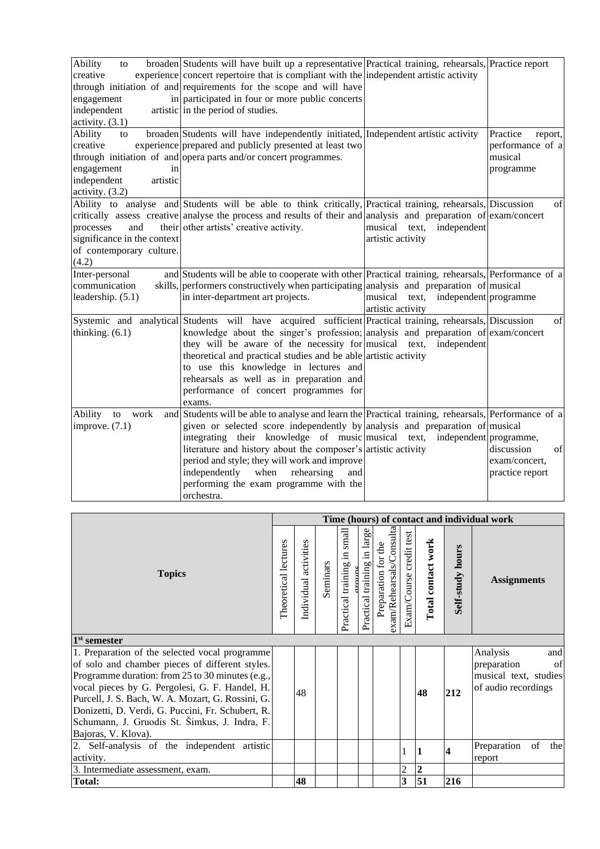| Ability<br>to<br>creative<br>engagement<br>independent<br>activity. $(3.1)$                   | broaden Students will have built up a representative Practical training, rehearsals, Practice report<br>experience concert repertoire that is compliant with the independent artistic activity<br>through initiation of and requirements for the scope and will have<br>in participated in four or more public concerts<br>artistic in the period of studies.                                                                                                                          |                                                             |                                                                 |  |  |  |  |
|-----------------------------------------------------------------------------------------------|----------------------------------------------------------------------------------------------------------------------------------------------------------------------------------------------------------------------------------------------------------------------------------------------------------------------------------------------------------------------------------------------------------------------------------------------------------------------------------------|-------------------------------------------------------------|-----------------------------------------------------------------|--|--|--|--|
| Ability<br>to<br>creative<br>engagement<br>in<br>independent<br>artistic<br>activity. $(3.2)$ | broaden Students will have independently initiated, Independent artistic activity<br>experience prepared and publicly presented at least two<br>through initiation of and opera parts and/or concert programmes.                                                                                                                                                                                                                                                                       |                                                             | Practice<br>report,<br>performance of a<br>musical<br>programme |  |  |  |  |
| and<br>processes<br>significance in the context<br>of contemporary culture.<br>(4.2)          | Ability to analyse and Students will be able to think critically, Practical training, rehearsals, Discussion<br>critically assess creative analyse the process and results of their and analysis and preparation of exam/concert<br>their other artists' creative activity.                                                                                                                                                                                                            | musical text,<br>independent<br>artistic activity           | of                                                              |  |  |  |  |
| Inter-personal<br>communication<br>leadership. (5.1)                                          | and Students will be able to cooperate with other Practical training, rehearsals, Performance of a<br>skills, performers constructively when participating analysis and preparation of musical<br>in inter-department art projects.                                                                                                                                                                                                                                                    | independent programme<br>musical text,<br>artistic activity |                                                                 |  |  |  |  |
| thinking. $(6.1)$                                                                             | Systemic and analytical Students will have acquired sufficient Practical training, rehearsals, Discussion<br>knowledge about the singer's profession; analysis and preparation of $\exp(-\cos \theta)$<br>they will be aware of the necessity for musical text, independent<br>theoretical and practical studies and be able artistic activity<br>to use this knowledge in lectures and<br>rehearsals as well as in preparation and<br>performance of concert programmes for<br>exams. |                                                             | of                                                              |  |  |  |  |
| Ability<br>work<br>to<br>improve. $(7.1)$                                                     | and Students will be able to analyse and learn the Practical training, rehearsals, Performance of a<br>given or selected score independently by analysis and preparation of musical<br>integrating their knowledge of music musical text,<br>literature and history about the composer's artistic activity<br>period and style; they will work and improve<br>independently<br>when<br>rehearsing<br>and<br>performing the exam programme with the<br>orchestra.                       | independent programme,                                      | discussion<br>of<br>exam/concert,<br>practice report            |  |  |  |  |
|                                                                                               | Time (hours) of contact and individual work                                                                                                                                                                                                                                                                                                                                                                                                                                            |                                                             |                                                                 |  |  |  |  |
|                                                                                               |                                                                                                                                                                                                                                                                                                                                                                                                                                                                                        |                                                             |                                                                 |  |  |  |  |

|                                                                                                                                                                                                                                                                                                                                                                                           |  |                       |          |                                   |                                |                                                 |                         |                    |                         | Time (hours) of contact and individual work                                          |
|-------------------------------------------------------------------------------------------------------------------------------------------------------------------------------------------------------------------------------------------------------------------------------------------------------------------------------------------------------------------------------------------|--|-----------------------|----------|-----------------------------------|--------------------------------|-------------------------------------------------|-------------------------|--------------------|-------------------------|--------------------------------------------------------------------------------------|
| <b>Topics</b>                                                                                                                                                                                                                                                                                                                                                                             |  | Individual activities | Seminars | small<br>Ξ.<br>Practical training | in large<br>Practical training | exam/Rehearsals/Consulta<br>Preparation for the | Exam/Course credit test | Total contact work | <b>Self-study hours</b> | <b>Assignments</b>                                                                   |
| 1 <sup>st</sup> semester                                                                                                                                                                                                                                                                                                                                                                  |  |                       |          |                                   |                                |                                                 |                         |                    |                         |                                                                                      |
| 1. Preparation of the selected vocal programme<br>of solo and chamber pieces of different styles.<br>Programme duration: from 25 to 30 minutes (e.g.,<br>vocal pieces by G. Pergolesi, G. F. Handel, H.<br>Purcell, J. S. Bach, W. A. Mozart, G. Rossini, G.<br>Donizetti, D. Verdi, G. Puccini, Fr. Schubert, R.<br>Schumann, J. Gruodis St. Šimkus, J. Indra, F.<br>Bajoras, V. Klova). |  | 48                    |          |                                   |                                |                                                 |                         | 48                 | 212                     | Analysis<br>and<br>preparation<br>of<br>musical text, studies<br>of audio recordings |
| 2. Self-analysis of the independent artistic<br>activity.                                                                                                                                                                                                                                                                                                                                 |  |                       |          |                                   |                                |                                                 |                         |                    | 4                       | Preparation<br>of<br>the<br>report                                                   |
| 3. Intermediate assessment, exam.                                                                                                                                                                                                                                                                                                                                                         |  |                       |          |                                   |                                |                                                 | 2                       | $\boldsymbol{2}$   |                         |                                                                                      |
| <b>Total:</b>                                                                                                                                                                                                                                                                                                                                                                             |  | 48                    |          |                                   |                                |                                                 | 3                       | 51                 | 216                     |                                                                                      |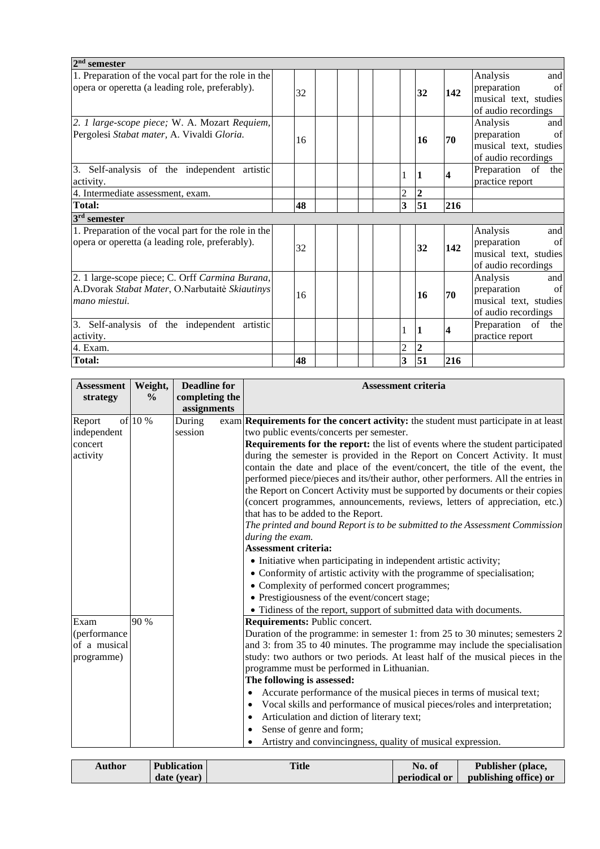| $2nd$ semester                                                                                                     |    |  |                |                |     |                                                                                      |
|--------------------------------------------------------------------------------------------------------------------|----|--|----------------|----------------|-----|--------------------------------------------------------------------------------------|
| 1. Preparation of the vocal part for the role in the<br>opera or operetta (a leading role, preferably).            |    |  |                |                |     | Analysis<br>and<br>preparation<br>of                                                 |
|                                                                                                                    | 32 |  |                | 32             | 142 | musical text, studies<br>of audio recordings                                         |
| 2. 1 large-scope piece; W. A. Mozart Requiem,<br>Pergolesi Stabat mater, A. Vivaldi Gloria.                        | 16 |  |                | 16             | 70  | Analysis<br>and<br>preparation<br>of<br>musical text, studies<br>of audio recordings |
| 3. Self-analysis of the independent artistic<br>activity.                                                          |    |  | 1              |                | 4   | Preparation of the<br>practice report                                                |
| 4. Intermediate assessment, exam.                                                                                  |    |  | $\overline{c}$ | $\overline{2}$ |     |                                                                                      |
| <b>Total:</b>                                                                                                      | 48 |  | 3              | 51             | 216 |                                                                                      |
| 3 <sup>rd</sup> semester                                                                                           |    |  |                |                |     |                                                                                      |
| 1. Preparation of the vocal part for the role in the<br>opera or operetta (a leading role, preferably).            | 32 |  |                | 32             | 142 | Analysis<br>and<br>preparation<br>of<br>musical text, studies<br>of audio recordings |
| 2. 1 large-scope piece; C. Orff Carmina Burana,<br>A.Dvorak Stabat Mater, O.Narbutaitė Skiautinys<br>mano miestui. | 16 |  |                | 16             | 70  | Analysis<br>and<br>preparation<br>of<br>musical text, studies<br>of audio recordings |
| 3. Self-analysis of the independent artistic<br>activity.                                                          |    |  | 1              |                | 4   | Preparation of the<br>practice report                                                |
| 4. Exam.                                                                                                           |    |  | $\overline{c}$ | $\mathbf{2}$   |     |                                                                                      |
| <b>Total:</b>                                                                                                      | 48 |  | 3              | 51             | 216 |                                                                                      |

| <b>Assessment</b><br>strategy | Weight,<br>$\frac{6}{9}$ | <b>Deadline for</b><br>completing the<br>assignments | <b>Assessment criteria</b>                                                                  |
|-------------------------------|--------------------------|------------------------------------------------------|---------------------------------------------------------------------------------------------|
| Report                        | of 10 %                  | During                                               | exam <b>Requirements for the concert activity:</b> the student must participate in at least |
| independent                   |                          | session                                              | two public events/concerts per semester.                                                    |
| concert                       |                          |                                                      | Requirements for the report: the list of events where the student participated              |
| activity                      |                          |                                                      | during the semester is provided in the Report on Concert Activity. It must                  |
|                               |                          |                                                      | contain the date and place of the event/concert, the title of the event, the                |
|                               |                          |                                                      | performed piece/pieces and its/their author, other performers. All the entries in           |
|                               |                          |                                                      | the Report on Concert Activity must be supported by documents or their copies               |
|                               |                          |                                                      | (concert programmes, announcements, reviews, letters of appreciation, etc.)                 |
|                               |                          |                                                      | that has to be added to the Report.                                                         |
|                               |                          |                                                      | The printed and bound Report is to be submitted to the Assessment Commission                |
|                               |                          |                                                      | during the exam.                                                                            |
|                               |                          |                                                      | <b>Assessment criteria:</b>                                                                 |
|                               |                          |                                                      | • Initiative when participating in independent artistic activity;                           |
|                               |                          |                                                      | • Conformity of artistic activity with the programme of specialisation;                     |
|                               |                          |                                                      | • Complexity of performed concert programmes;                                               |
|                               |                          |                                                      | • Prestigiousness of the event/concert stage;                                               |
|                               |                          |                                                      | • Tidiness of the report, support of submitted data with documents.                         |
| Exam                          | 90 %                     |                                                      | Requirements: Public concert.                                                               |
| (performance                  |                          |                                                      | Duration of the programme: in semester 1: from 25 to 30 minutes; semesters 2                |
| of a musical                  |                          |                                                      | and 3: from 35 to 40 minutes. The programme may include the specialisation                  |
| programme)                    |                          |                                                      | study: two authors or two periods. At least half of the musical pieces in the               |
|                               |                          |                                                      | programme must be performed in Lithuanian.                                                  |
|                               |                          |                                                      | The following is assessed:                                                                  |
|                               |                          |                                                      | Accurate performance of the musical pieces in terms of musical text;<br>$\bullet$           |
|                               |                          |                                                      | Vocal skills and performance of musical pieces/roles and interpretation;<br>$\bullet$       |
|                               |                          |                                                      | Articulation and diction of literary text;<br>٠                                             |
|                               |                          |                                                      | Sense of genre and form;                                                                    |
|                               |                          |                                                      | Artistry and convincingness, quality of musical expression.                                 |

| <b>Author</b> | <b>Publication</b> | <b>Title</b> | No. of               | Publisher (place,     |
|---------------|--------------------|--------------|----------------------|-----------------------|
|               | date (year)        |              | <b>periodical or</b> | publishing office) or |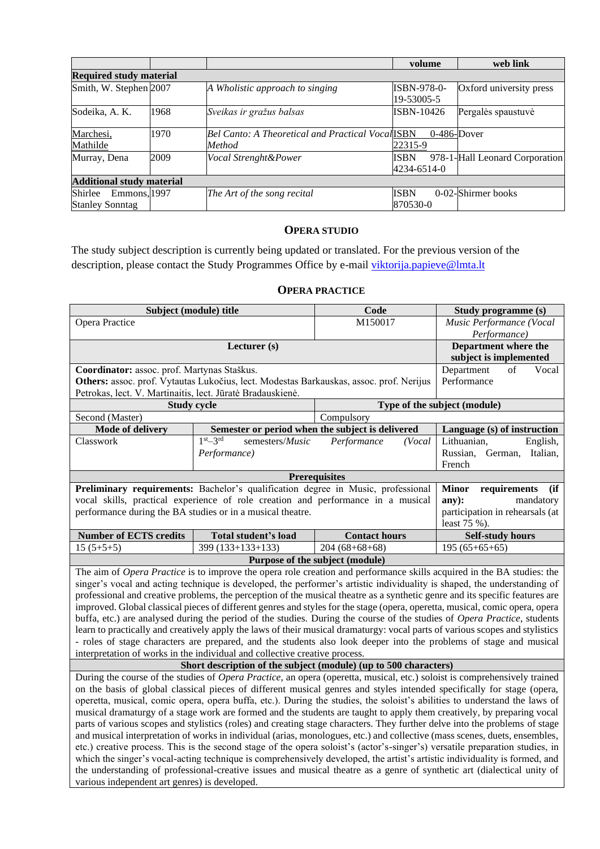|                                  |      |                                                   | volume             | web link                       |
|----------------------------------|------|---------------------------------------------------|--------------------|--------------------------------|
| <b>Required study material</b>   |      |                                                   |                    |                                |
| Smith, W. Stephen 2007           |      | A Wholistic approach to singing                   | <b>ISBN-978-0-</b> | Oxford university press        |
|                                  |      |                                                   | 19-53005-5         |                                |
| Sodeika, A. K.                   | 1968 | Sveikas ir gražus balsas                          | ISBN-10426         | Pergalės spaustuvė             |
|                                  |      |                                                   |                    |                                |
| Marchesi,                        | 1970 | Bel Canto: A Theoretical and Practical Vocal ISBN | $0-486$ -Dover     |                                |
| Mathilde                         |      | Method                                            | 22315-9            |                                |
| Murray, Dena                     | 2009 | Vocal Strenght&Power                              | <b>ISBN</b>        | 978-1-Hall Leonard Corporation |
|                                  |      |                                                   | 4234-6514-0        |                                |
| <b>Additional study material</b> |      |                                                   |                    |                                |
| Shirlee<br>Emmons, 1997          |      | The Art of the song recital                       | <b>ISBN</b>        | 0-02-Shirmer books             |
| <b>Stanley Sonntag</b>           |      |                                                   | 870530-0           |                                |

## **OPERA STUDIO**

<span id="page-5-0"></span>The study subject description is currently being updated or translated. For the previous version of the description, please contact the Study Programmes Office by e-mail [viktorija.papieve@lmta.lt](mailto:viktorija.papieve@lmta.lt)

### **OPERA PRACTICE**

<span id="page-5-1"></span>

| Subject (module) title                                                                                                     |                                                                                                                                                                                                                                                       | Code                            | Study programme (s)                                                                                                                                                                                                                                      |  |  |  |
|----------------------------------------------------------------------------------------------------------------------------|-------------------------------------------------------------------------------------------------------------------------------------------------------------------------------------------------------------------------------------------------------|---------------------------------|----------------------------------------------------------------------------------------------------------------------------------------------------------------------------------------------------------------------------------------------------------|--|--|--|
| Opera Practice                                                                                                             |                                                                                                                                                                                                                                                       | M150017                         | Music Performance (Vocal                                                                                                                                                                                                                                 |  |  |  |
|                                                                                                                            |                                                                                                                                                                                                                                                       |                                 | Performance)                                                                                                                                                                                                                                             |  |  |  |
|                                                                                                                            | Lecturer (s)                                                                                                                                                                                                                                          |                                 | Department where the                                                                                                                                                                                                                                     |  |  |  |
|                                                                                                                            |                                                                                                                                                                                                                                                       |                                 | subject is implemented                                                                                                                                                                                                                                   |  |  |  |
| Coordinator: assoc. prof. Martynas Staškus.                                                                                |                                                                                                                                                                                                                                                       |                                 | Vocal<br>Department<br>of                                                                                                                                                                                                                                |  |  |  |
|                                                                                                                            | Others: assoc. prof. Vytautas Lukočius, lect. Modestas Barkauskas, assoc. prof. Nerijus                                                                                                                                                               |                                 | Performance                                                                                                                                                                                                                                              |  |  |  |
| Petrokas, lect. V. Martinaitis, lect. Jūratė Bradauskienė.                                                                 |                                                                                                                                                                                                                                                       |                                 |                                                                                                                                                                                                                                                          |  |  |  |
| <b>Study cycle</b>                                                                                                         |                                                                                                                                                                                                                                                       |                                 | Type of the subject (module)                                                                                                                                                                                                                             |  |  |  |
| Second (Master)                                                                                                            | Compulsory                                                                                                                                                                                                                                            |                                 |                                                                                                                                                                                                                                                          |  |  |  |
| <b>Mode of delivery</b>                                                                                                    | Semester or period when the subject is delivered                                                                                                                                                                                                      |                                 | Language (s) of instruction                                                                                                                                                                                                                              |  |  |  |
| Classwork                                                                                                                  | $1st - 3rd$<br>semesters/Music                                                                                                                                                                                                                        | Performance<br>(Vocal           | Lithuanian,<br>English,                                                                                                                                                                                                                                  |  |  |  |
|                                                                                                                            | Performance)                                                                                                                                                                                                                                          |                                 | Russian,<br>German, Italian,                                                                                                                                                                                                                             |  |  |  |
|                                                                                                                            |                                                                                                                                                                                                                                                       |                                 | French                                                                                                                                                                                                                                                   |  |  |  |
|                                                                                                                            |                                                                                                                                                                                                                                                       | <b>Prerequisites</b>            |                                                                                                                                                                                                                                                          |  |  |  |
|                                                                                                                            | Preliminary requirements: Bachelor's qualification degree in Music, professional                                                                                                                                                                      |                                 | <b>Minor</b><br>requirements<br>(ii)                                                                                                                                                                                                                     |  |  |  |
|                                                                                                                            | vocal skills, practical experience of role creation and performance in a musical                                                                                                                                                                      |                                 | any):<br>mandatory<br>participation in rehearsals (at                                                                                                                                                                                                    |  |  |  |
|                                                                                                                            | performance during the BA studies or in a musical theatre.                                                                                                                                                                                            |                                 |                                                                                                                                                                                                                                                          |  |  |  |
|                                                                                                                            |                                                                                                                                                                                                                                                       |                                 |                                                                                                                                                                                                                                                          |  |  |  |
| <b>Number of ECTS credits</b>                                                                                              | Total student's load                                                                                                                                                                                                                                  | <b>Contact hours</b>            | <b>Self-study hours</b>                                                                                                                                                                                                                                  |  |  |  |
| $15(5+5+5)$                                                                                                                | 399 (133+133+133)                                                                                                                                                                                                                                     | $204(68+68+68)$                 | $195(65+65+65)$                                                                                                                                                                                                                                          |  |  |  |
|                                                                                                                            |                                                                                                                                                                                                                                                       | Purpose of the subject (module) |                                                                                                                                                                                                                                                          |  |  |  |
|                                                                                                                            |                                                                                                                                                                                                                                                       |                                 | The aim of Opera Practice is to improve the opera role creation and performance skills acquired in the BA studies: the                                                                                                                                   |  |  |  |
|                                                                                                                            |                                                                                                                                                                                                                                                       |                                 | singer's vocal and acting technique is developed, the performer's artistic individuality is shaped, the understanding of<br>professional and creative problems, the perception of the musical theatre as a synthetic genre and its specific features are |  |  |  |
|                                                                                                                            |                                                                                                                                                                                                                                                       |                                 | improved. Global classical pieces of different genres and styles for the stage (opera, operetta, musical, comic opera, opera                                                                                                                             |  |  |  |
|                                                                                                                            |                                                                                                                                                                                                                                                       |                                 | buffa, etc.) are analysed during the period of the studies. During the course of the studies of Opera Practice, students                                                                                                                                 |  |  |  |
|                                                                                                                            |                                                                                                                                                                                                                                                       |                                 | learn to practically and creatively apply the laws of their musical dramaturgy: vocal parts of various scopes and stylistics                                                                                                                             |  |  |  |
|                                                                                                                            |                                                                                                                                                                                                                                                       |                                 | - roles of stage characters are prepared, and the students also look deeper into the problems of stage and musical                                                                                                                                       |  |  |  |
|                                                                                                                            | interpretation of works in the individual and collective creative process.                                                                                                                                                                            |                                 |                                                                                                                                                                                                                                                          |  |  |  |
|                                                                                                                            | Short description of the subject (module) (up to 500 characters)                                                                                                                                                                                      |                                 |                                                                                                                                                                                                                                                          |  |  |  |
|                                                                                                                            |                                                                                                                                                                                                                                                       |                                 | During the course of the studies of <i>Opera Practice</i> , an opera (operetta, musical, etc.) soloist is comprehensively trained                                                                                                                        |  |  |  |
|                                                                                                                            |                                                                                                                                                                                                                                                       |                                 | on the basis of global classical pieces of different musical genres and styles intended specifically for stage (opera,                                                                                                                                   |  |  |  |
|                                                                                                                            |                                                                                                                                                                                                                                                       |                                 | operetta, musical, comic opera, opera buffa, etc.). During the studies, the soloist's abilities to understand the laws of                                                                                                                                |  |  |  |
|                                                                                                                            |                                                                                                                                                                                                                                                       |                                 |                                                                                                                                                                                                                                                          |  |  |  |
|                                                                                                                            | musical dramaturgy of a stage work are formed and the students are taught to apply them creatively, by preparing vocal<br>parts of various scopes and stylistics (roles) and creating stage characters. They further delve into the problems of stage |                                 |                                                                                                                                                                                                                                                          |  |  |  |
| and musical interpretation of works in individual (arias, monologues, etc.) and collective (mass scenes, duets, ensembles, |                                                                                                                                                                                                                                                       |                                 |                                                                                                                                                                                                                                                          |  |  |  |
|                                                                                                                            |                                                                                                                                                                                                                                                       |                                 | etc.) creative process. This is the second stage of the opera soloist's (actor's-singer's) versatile preparation studies, in                                                                                                                             |  |  |  |
|                                                                                                                            |                                                                                                                                                                                                                                                       |                                 | which the singer's vocal-acting technique is comprehensively developed, the artist's artistic individuality is formed, and                                                                                                                               |  |  |  |
|                                                                                                                            |                                                                                                                                                                                                                                                       |                                 | the understanding of professional-creative issues and musical theatre as a genre of synthetic art (dialectical unity of                                                                                                                                  |  |  |  |
| various independent art genres) is developed.                                                                              |                                                                                                                                                                                                                                                       |                                 |                                                                                                                                                                                                                                                          |  |  |  |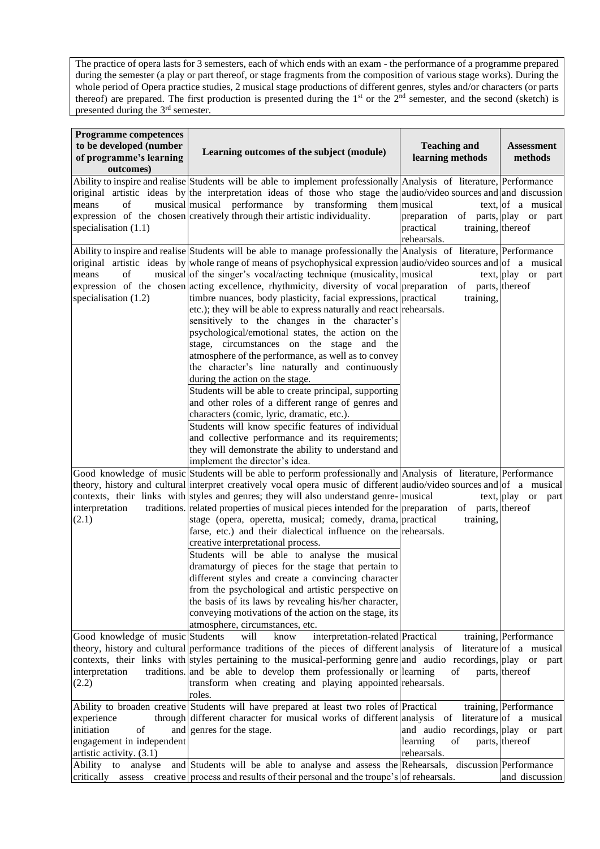The practice of opera lasts for 3 semesters, each of which ends with an exam - the performance of a programme prepared during the semester (a play or part thereof, or stage fragments from the composition of various stage works). During the whole period of Opera practice studies, 2 musical stage productions of different genres, styles and/or characters (or parts thereof) are prepared. The first production is presented during the  $1<sup>st</sup>$  or the  $2<sup>nd</sup>$  semester, and the second (sketch) is presented during the 3<sup>rd</sup> semester.

| <b>Programme competences</b><br>to be developed (number<br>of programme's learning<br>outcomes) | Learning outcomes of the subject (module)                                                                                                                                                                                                                                                                                                                                                                                                                                                                                                                                                                                                                                                                                                                                                                                                                                                                                                                                                                                                                                                                                                                                                                                               | <b>Teaching and</b><br>learning methods                                             | <b>Assessment</b><br>methods                                       |
|-------------------------------------------------------------------------------------------------|-----------------------------------------------------------------------------------------------------------------------------------------------------------------------------------------------------------------------------------------------------------------------------------------------------------------------------------------------------------------------------------------------------------------------------------------------------------------------------------------------------------------------------------------------------------------------------------------------------------------------------------------------------------------------------------------------------------------------------------------------------------------------------------------------------------------------------------------------------------------------------------------------------------------------------------------------------------------------------------------------------------------------------------------------------------------------------------------------------------------------------------------------------------------------------------------------------------------------------------------|-------------------------------------------------------------------------------------|--------------------------------------------------------------------|
| means<br>οf<br>specialisation $(1.1)$                                                           | Ability to inspire and realise Students will be able to implement professionally Analysis of literature, Performance<br>original artistic ideas by the interpretation ideas of those who stage the audio/video sources and and discussion<br>musical musical performance by transforming them musical<br>expression of the chosen creatively through their artistic individuality.                                                                                                                                                                                                                                                                                                                                                                                                                                                                                                                                                                                                                                                                                                                                                                                                                                                      | preparation of parts, play or part<br>practical<br>training, thereof<br>rehearsals. | text,  of a musical                                                |
| of<br>means<br>specialisation $(1.2)$                                                           | Ability to inspire and realise Students will be able to manage professionally the Analysis of literature, Performance<br>original artistic ideas by whole range of means of psychophysical expression audio/video sources and of a musical<br>musical of the singer's vocal/acting technique (musicality, musical<br>expression of the chosen acting excellence, rhythmicity, diversity of vocal preparation of parts, thereof<br>timbre nuances, body plasticity, facial expressions, practical<br>etc.); they will be able to express naturally and react rehearsals.<br>sensitively to the changes in the character's<br>psychological/emotional states, the action on the<br>stage, circumstances on the stage and the<br>atmosphere of the performance, as well as to convey<br>the character's line naturally and continuously<br>during the action on the stage.<br>Students will be able to create principal, supporting<br>and other roles of a different range of genres and<br>characters (comic, lyric, dramatic, etc.).<br>Students will know specific features of individual<br>and collective performance and its requirements;<br>they will demonstrate the ability to understand and<br>implement the director's idea. | training,                                                                           | text, play or part                                                 |
| interpretation<br>(2.1)                                                                         | Good knowledge of music Students will be able to perform professionally and Analysis of literature, Performance<br>theory, history and cultural interpret creatively vocal opera music of different audio/video sources and of a musical<br>contexts, their links with styles and genres; they will also understand genre- musical<br>traditions. related properties of musical pieces intended for the preparation<br>stage (opera, operetta, musical; comedy, drama, practical<br>farse, etc.) and their dialectical influence on the rehearsals.<br>creative interpretational process.<br>Students will be able to analyse the musical<br>dramaturgy of pieces for the stage that pertain to<br>different styles and create a convincing character<br>from the psychological and artistic perspective on<br>the basis of its laws by revealing his/her character,<br>conveying motivations of the action on the stage, its<br>atmosphere, circumstances, etc.                                                                                                                                                                                                                                                                        | of parts, thereof<br>training,                                                      | text, play or part                                                 |
| Good knowledge of music Students<br>interpretation<br>(2.2)                                     | will<br>interpretation-related Practical<br>know<br>theory, history and cultural performance traditions of the pieces of different analysis of<br>contexts, their links with styles pertaining to the musical-performing genre and audio recordings, play or part<br>traditions. and be able to develop them professionally or learning<br>transform when creating and playing appointed rehearsals.<br>roles.                                                                                                                                                                                                                                                                                                                                                                                                                                                                                                                                                                                                                                                                                                                                                                                                                          | of                                                                                  | training, Performance<br>literature of a musical<br>parts, thereof |
| experience<br>initiation<br>of<br>engagement in independent<br>artistic activity. (3.1)         | Ability to broaden creative Students will have prepared at least two roles of Practical<br>through different character for musical works of different analysis<br>and genres for the stage.                                                                                                                                                                                                                                                                                                                                                                                                                                                                                                                                                                                                                                                                                                                                                                                                                                                                                                                                                                                                                                             | of<br>and audio recordings, play or part<br>learning<br>of<br>rehearsals.           | training, Performance<br>literature of a musical<br>parts, thereof |
| analyse<br>Ability to                                                                           | and Students will be able to analyse and assess the Rehearsals,<br>critically assess creative process and results of their personal and the troupe's of rehearsals.                                                                                                                                                                                                                                                                                                                                                                                                                                                                                                                                                                                                                                                                                                                                                                                                                                                                                                                                                                                                                                                                     |                                                                                     | discussion Performance<br>and discussion                           |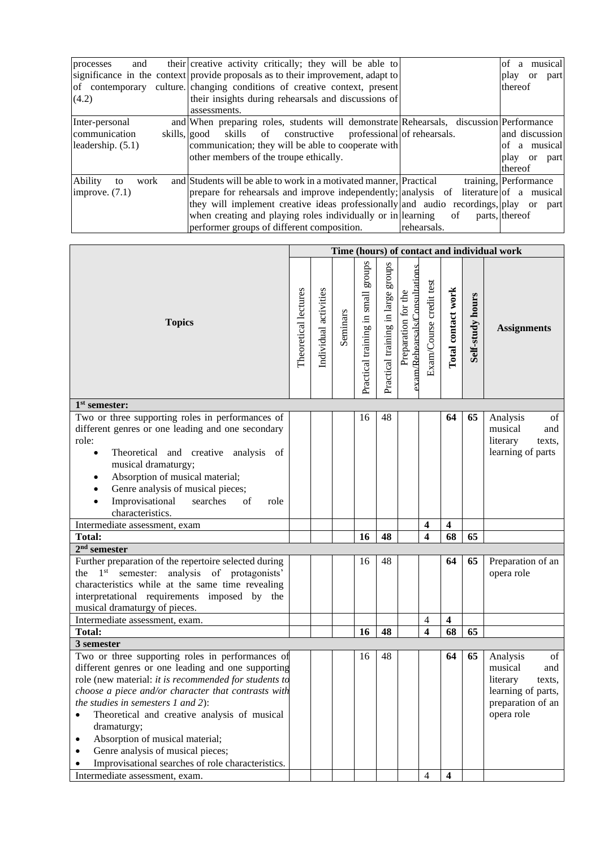| and<br>processes             | their creative activity critically; they will be able to                               |             | musical<br>of a         |
|------------------------------|----------------------------------------------------------------------------------------|-------------|-------------------------|
|                              | significance in the context provide proposals as to their improvement, adapt to        |             | play<br>or<br>part      |
| of contemporary              | culture. changing conditions of creative context, present                              |             | thereof                 |
| (4.2)                        | their insights during rehearsals and discussions of                                    |             |                         |
|                              | assessments.                                                                           |             |                         |
| Inter-personal               | and When preparing roles, students will demonstrate Rehearsals, discussion Performance |             |                         |
| communication                | skills of constructive professional of rehearsals.<br>skills, good                     |             | and discussion          |
| leadership. (5.1)            | communication; they will be able to cooperate with                                     |             | of a musical            |
|                              | other members of the troupe ethically.                                                 |             | play or part            |
|                              |                                                                                        |             | thereof                 |
| <b>Ability</b><br>work<br>to | and Students will be able to work in a motivated manner, Practical                     |             | training, Performance   |
| improve. $(7.1)$             | prepare for rehearsals and improve independently; analysis of                          |             | literature of a musical |
|                              | they will implement creative ideas professionally and audio recordings, play or part   |             |                         |
|                              | when creating and playing roles individually or in learning                            | of          | parts, thereof          |
|                              | performer groups of different composition.                                             | rehearsals. |                         |

|                                                                                                                                                                                                                                                                                                                                                                                                                                                                                  |                      |                       |          |                                       |                                    |                                                      |                         |                         |                  | Time (hours) of contact and individual work                                                                     |
|----------------------------------------------------------------------------------------------------------------------------------------------------------------------------------------------------------------------------------------------------------------------------------------------------------------------------------------------------------------------------------------------------------------------------------------------------------------------------------|----------------------|-----------------------|----------|---------------------------------------|------------------------------------|------------------------------------------------------|-------------------------|-------------------------|------------------|-----------------------------------------------------------------------------------------------------------------|
| <b>Topics</b>                                                                                                                                                                                                                                                                                                                                                                                                                                                                    | Theoretical lectures | Individual activities | Seminars | stonbs<br>Practical training in small | Practical training in large groups | exam/Rehearsals/Consultations<br>Preparation for the | Exam/Course credit test | Total contact work      | Self-study hours | <b>Assignments</b>                                                                                              |
| 1 <sup>st</sup> semester:                                                                                                                                                                                                                                                                                                                                                                                                                                                        |                      |                       |          |                                       |                                    |                                                      |                         |                         |                  |                                                                                                                 |
| Two or three supporting roles in performances of<br>different genres or one leading and one secondary<br>role:<br>Theoretical and creative analysis of<br>$\bullet$<br>musical dramaturgy;<br>Absorption of musical material;<br>٠<br>Genre analysis of musical pieces;<br>$\bullet$<br>Improvisational<br>searches<br>of<br>role<br>$\bullet$<br>characteristics.                                                                                                               |                      |                       |          | 16                                    | 48                                 |                                                      |                         | 64                      | 65               | Analysis<br>of<br>musical<br>and<br>literary<br>texts,<br>learning of parts                                     |
| Intermediate assessment, exam                                                                                                                                                                                                                                                                                                                                                                                                                                                    |                      |                       |          |                                       |                                    |                                                      | $\overline{\mathbf{4}}$ | $\overline{\mathbf{4}}$ |                  |                                                                                                                 |
| <b>Total:</b>                                                                                                                                                                                                                                                                                                                                                                                                                                                                    |                      |                       |          | 16                                    | 48                                 |                                                      | $\overline{\mathbf{4}}$ | 68                      | 65               |                                                                                                                 |
| $2nd$ semester                                                                                                                                                                                                                                                                                                                                                                                                                                                                   |                      |                       |          |                                       |                                    |                                                      |                         |                         |                  |                                                                                                                 |
| Further preparation of the repertoire selected during<br>the $1st$<br>analysis of protagonists'<br>semester:<br>characteristics while at the same time revealing<br>interpretational requirements imposed by the<br>musical dramaturgy of pieces.                                                                                                                                                                                                                                |                      |                       |          | 16                                    | 48                                 |                                                      |                         | 64                      | 65               | Preparation of an<br>opera role                                                                                 |
| Intermediate assessment, exam.                                                                                                                                                                                                                                                                                                                                                                                                                                                   |                      |                       |          |                                       |                                    |                                                      | 4                       | $\overline{\mathbf{4}}$ |                  |                                                                                                                 |
| <b>Total:</b>                                                                                                                                                                                                                                                                                                                                                                                                                                                                    |                      |                       |          | 16                                    | 48                                 |                                                      | $\overline{\mathbf{4}}$ | 68                      | 65               |                                                                                                                 |
| 3 semester<br>Two or three supporting roles in performances of<br>different genres or one leading and one supporting<br>role (new material: it is recommended for students to<br>choose a piece and/or character that contrasts with<br>the studies in semesters $1$ and $2$ ):<br>Theoretical and creative analysis of musical<br>dramaturgy;<br>Absorption of musical material;<br>٠<br>Genre analysis of musical pieces;<br>Improvisational searches of role characteristics. |                      |                       |          | 16                                    | 48                                 |                                                      |                         | 64                      | 65               | Analysis<br>of<br>musical<br>and<br>literary<br>texts,<br>learning of parts,<br>preparation of an<br>opera role |
| Intermediate assessment, exam.                                                                                                                                                                                                                                                                                                                                                                                                                                                   |                      |                       |          |                                       |                                    |                                                      | $\overline{4}$          | $\overline{\mathbf{4}}$ |                  |                                                                                                                 |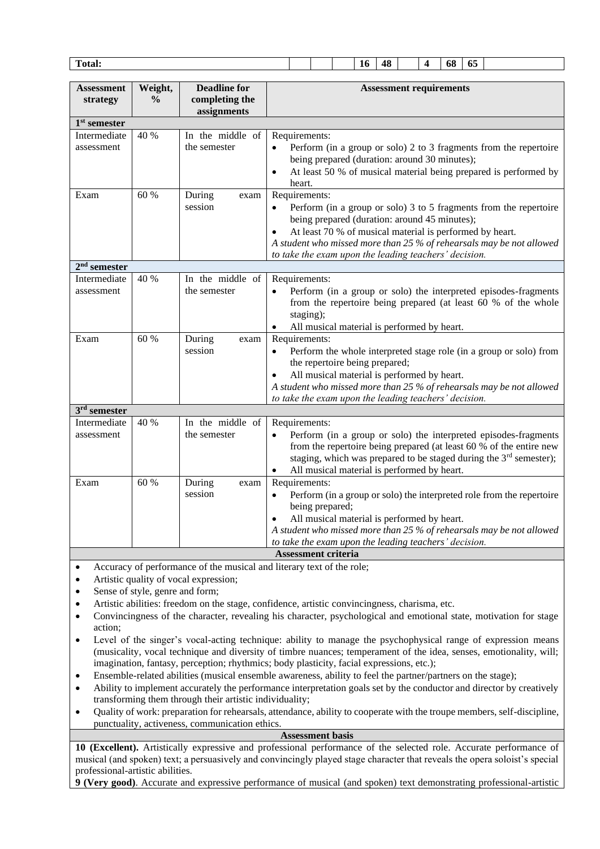| Total: |  | ۰<br>16 | 48 |  | 68 | - -<br>-65 |  |
|--------|--|---------|----|--|----|------------|--|
|        |  |         |    |  |    |            |  |

|                               |                          | <b>Deadline for</b>              |                                                                                                                                                                                                                                                                                                                                  |
|-------------------------------|--------------------------|----------------------------------|----------------------------------------------------------------------------------------------------------------------------------------------------------------------------------------------------------------------------------------------------------------------------------------------------------------------------------|
| <b>Assessment</b><br>strategy | Weight,<br>$\frac{0}{0}$ | completing the<br>assignments    | <b>Assessment requirements</b>                                                                                                                                                                                                                                                                                                   |
| $1st$ semester                |                          |                                  |                                                                                                                                                                                                                                                                                                                                  |
| Intermediate<br>assessment    | 40 %                     | In the middle of<br>the semester | Requirements:<br>Perform (in a group or solo) 2 to 3 fragments from the repertoire<br>being prepared (duration: around 30 minutes);<br>At least 50 % of musical material being prepared is performed by<br>heart.                                                                                                                |
| Exam                          | 60 %                     | During<br>exam<br>session        | Requirements:<br>Perform (in a group or solo) 3 to 5 fragments from the repertoire<br>being prepared (duration: around 45 minutes);<br>At least 70 % of musical material is performed by heart.<br>A student who missed more than 25 % of rehearsals may be not allowed<br>to take the exam upon the leading teachers' decision. |
| $2nd$ semester                |                          |                                  |                                                                                                                                                                                                                                                                                                                                  |
| Intermediate<br>assessment    | 40 %                     | In the middle of<br>the semester | Requirements:<br>Perform (in a group or solo) the interpreted episodes-fragments<br>from the repertoire being prepared (at least 60 % of the whole<br>staging);<br>All musical material is performed by heart.                                                                                                                   |
| Exam                          | 60 %                     | During<br>exam<br>session        | Requirements:<br>Perform the whole interpreted stage role (in a group or solo) from<br>the repertoire being prepared;<br>All musical material is performed by heart.<br>A student who missed more than 25 % of rehearsals may be not allowed<br>to take the exam upon the leading teachers' decision.                            |
| $3rd$ semester                |                          |                                  |                                                                                                                                                                                                                                                                                                                                  |
| Intermediate<br>assessment    | 40 %                     | In the middle of<br>the semester | Requirements:<br>Perform (in a group or solo) the interpreted episodes-fragments<br>from the repertoire being prepared (at least 60 % of the entire new<br>staging, which was prepared to be staged during the 3 <sup>rd</sup> semester);<br>All musical material is performed by heart.                                         |
| Exam                          | 60 %                     | During<br>exam<br>session        | Requirements:<br>Perform (in a group or solo) the interpreted role from the repertoire<br>being prepared;<br>All musical material is performed by heart.<br>A student who missed more than 25 % of rehearsals may be not allowed<br>to take the exam upon the leading teachers' decision.                                        |
|                               |                          |                                  | <b>Assessment criteria</b>                                                                                                                                                                                                                                                                                                       |

- Accuracy of performance of the musical and literary text of the role;
- Artistic quality of vocal expression;
- Sense of style, genre and form;
- Artistic abilities: freedom on the stage, confidence, artistic convincingness, charisma, etc.
- Convincingness of the character, revealing his character, psychological and emotional state, motivation for stage action;
- Level of the singer's vocal-acting technique: ability to manage the psychophysical range of expression means (musicality, vocal technique and diversity of timbre nuances; temperament of the idea, senses, emotionality, will; imagination, fantasy, perception; rhythmics; body plasticity, facial expressions, etc.);
- Ensemble-related abilities (musical ensemble awareness, ability to feel the partner/partners on the stage);
- Ability to implement accurately the performance interpretation goals set by the conductor and director by creatively transforming them through their artistic individuality;
- Quality of work: preparation for rehearsals, attendance, ability to cooperate with the troupe members, self-discipline, punctuality, activeness, communication ethics.

**Assessment basis**

**10 (Excellent).** Artistically expressive and professional performance of the selected role. Accurate performance of musical (and spoken) text; a persuasively and convincingly played stage character that reveals the opera soloist's special professional-artistic abilities.

**9 (Very good)**. Accurate and expressive performance of musical (and spoken) text demonstrating professional-artistic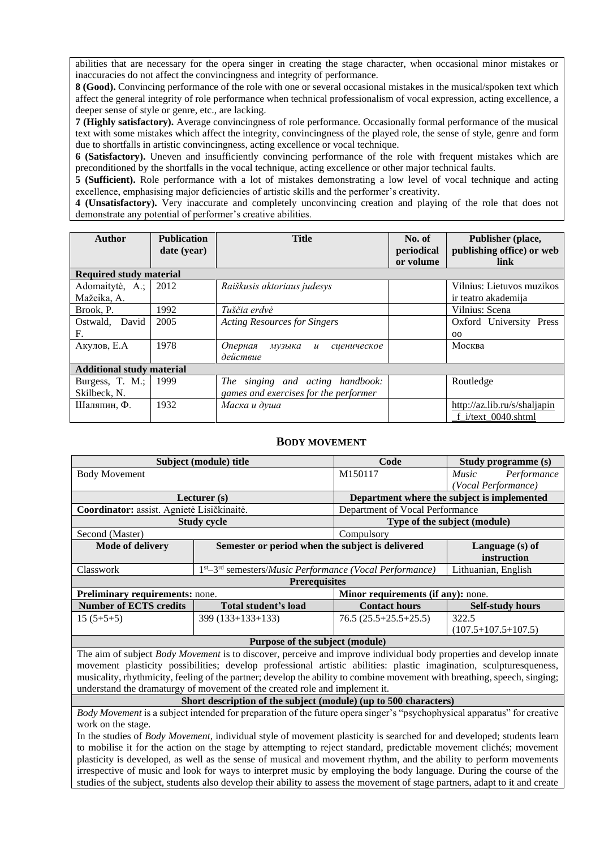abilities that are necessary for the opera singer in creating the stage character, when occasional minor mistakes or inaccuracies do not affect the convincingness and integrity of performance.

**8 (Good).** Convincing performance of the role with one or several occasional mistakes in the musical/spoken text which affect the general integrity of role performance when technical professionalism of vocal expression, acting excellence, a deeper sense of style or genre, etc., are lacking.

**7 (Highly satisfactory).** Average convincingness of role performance. Occasionally formal performance of the musical text with some mistakes which affect the integrity, convincingness of the played role, the sense of style, genre and form due to shortfalls in artistic convincingness, acting excellence or vocal technique.

**6 (Satisfactory).** Uneven and insufficiently convincing performance of the role with frequent mistakes which are preconditioned by the shortfalls in the vocal technique, acting excellence or other major technical faults.

**5 (Sufficient).** Role performance with a lot of mistakes demonstrating a low level of vocal technique and acting excellence, emphasising major deficiencies of artistic skills and the performer's creativity.

**4 (Unsatisfactory).** Very inaccurate and completely unconvincing creation and playing of the role that does not demonstrate any potential of performer's creative abilities.

| <b>Author</b>                    | <b>Publication</b><br>date (year) | <b>Title</b>                                         | No. of<br>periodical<br>or volume | Publisher (place,<br>publishing office) or web<br>link |
|----------------------------------|-----------------------------------|------------------------------------------------------|-----------------------------------|--------------------------------------------------------|
| <b>Required study material</b>   |                                   |                                                      |                                   |                                                        |
| Adomaitytė, A.;                  | 2012                              | Raiškusis aktoriaus judesys                          |                                   | Vilnius: Lietuvos muzikos                              |
| Mažeika, A.                      |                                   |                                                      |                                   | ir teatro akademija                                    |
| Brook, P.                        | 1992                              | Tuščia erdvė                                         |                                   | Vilnius: Scena                                         |
| Ostwald, David                   | 2005                              | <b>Acting Resources for Singers</b>                  |                                   | Oxford University<br>Press                             |
| F.                               |                                   |                                                      |                                   | 00 <sub>o</sub>                                        |
| Акулов, Е.А                      | 1978                              | Оперная<br>музыка<br>сценическое<br>$\boldsymbol{u}$ |                                   | Москва                                                 |
|                                  |                                   | действие                                             |                                   |                                                        |
| <b>Additional study material</b> |                                   |                                                      |                                   |                                                        |
| Burgess, T. M.;                  | 1999                              | The singing and acting handbook:                     |                                   | Routledge                                              |
| Skilbeck, N.                     |                                   | games and exercises for the performer                |                                   |                                                        |
| Шаляпин, Ф.                      | 1932                              | Маска и душа                                         |                                   | http://az.lib.ru/s/shaljapin                           |
|                                  |                                   |                                                      |                                   | f i/text 0040.shtml                                    |

### **BODY MOVEMENT**

<span id="page-9-0"></span>

|                                                                                                                     | Subject (module) title                                                                                                    | Code                                        | Study programme (s)          |  |  |  |  |  |  |
|---------------------------------------------------------------------------------------------------------------------|---------------------------------------------------------------------------------------------------------------------------|---------------------------------------------|------------------------------|--|--|--|--|--|--|
| <b>Body Movement</b>                                                                                                |                                                                                                                           | M150117                                     | Performance<br><i>Music</i>  |  |  |  |  |  |  |
|                                                                                                                     |                                                                                                                           |                                             | (Vocal Performance)          |  |  |  |  |  |  |
|                                                                                                                     | Lecturer $(s)$                                                                                                            | Department where the subject is implemented |                              |  |  |  |  |  |  |
| Coordinator: assist. Agnietė Lisičkinaitė.                                                                          |                                                                                                                           | Department of Vocal Performance             |                              |  |  |  |  |  |  |
|                                                                                                                     | <b>Study cycle</b>                                                                                                        |                                             | Type of the subject (module) |  |  |  |  |  |  |
| Second (Master)                                                                                                     | Compulsory                                                                                                                |                                             |                              |  |  |  |  |  |  |
| <b>Mode of delivery</b>                                                                                             | Semester or period when the subject is delivered                                                                          |                                             | Language (s) of              |  |  |  |  |  |  |
|                                                                                                                     |                                                                                                                           |                                             | instruction                  |  |  |  |  |  |  |
| Classwork                                                                                                           | 1 <sup>st</sup> –3 <sup>rd</sup> semesters/ <i>Music Performance</i> (Vocal Performance)                                  |                                             | Lithuanian, English          |  |  |  |  |  |  |
|                                                                                                                     | <b>Prerequisites</b>                                                                                                      |                                             |                              |  |  |  |  |  |  |
| Preliminary requirements: none.                                                                                     |                                                                                                                           | Minor requirements (if any): none.          |                              |  |  |  |  |  |  |
| <b>Number of ECTS credits</b>                                                                                       | Total student's load                                                                                                      | <b>Contact hours</b>                        | <b>Self-study hours</b>      |  |  |  |  |  |  |
| $15(5+5+5)$                                                                                                         | $399(133+133+133)$                                                                                                        | $76.5(25.5+25.5+25.5)$                      | 322.5                        |  |  |  |  |  |  |
|                                                                                                                     |                                                                                                                           |                                             | $(107.5+107.5+107.5)$        |  |  |  |  |  |  |
|                                                                                                                     | Purpose of the subject (module)                                                                                           |                                             |                              |  |  |  |  |  |  |
|                                                                                                                     | The aim of subject Body Movement is to discover, perceive and improve individual body properties and develop innate       |                                             |                              |  |  |  |  |  |  |
| movement plasticity possibilities; develop professional artistic abilities: plastic imagination, sculpturesqueness, |                                                                                                                           |                                             |                              |  |  |  |  |  |  |
|                                                                                                                     | musicality, rhythmicity, feeling of the partner; develop the ability to combine movement with breathing, speech, singing; |                                             |                              |  |  |  |  |  |  |
|                                                                                                                     | understand the dramaturgy of movement of the created role and implement it.                                               |                                             |                              |  |  |  |  |  |  |
|                                                                                                                     |                                                                                                                           |                                             |                              |  |  |  |  |  |  |

#### **Short description of the subject (module) (up to 500 characters)**

*Body Movement* is a subject intended for preparation of the future opera singer's "psychophysical apparatus" for creative work on the stage.

In the studies of *Body Movement*, individual style of movement plasticity is searched for and developed; students learn to mobilise it for the action on the stage by attempting to reject standard, predictable movement clichés; movement plasticity is developed, as well as the sense of musical and movement rhythm, and the ability to perform movements irrespective of music and look for ways to interpret music by employing the body language. During the course of the studies of the subject, students also develop their ability to assess the movement of stage partners, adapt to it and create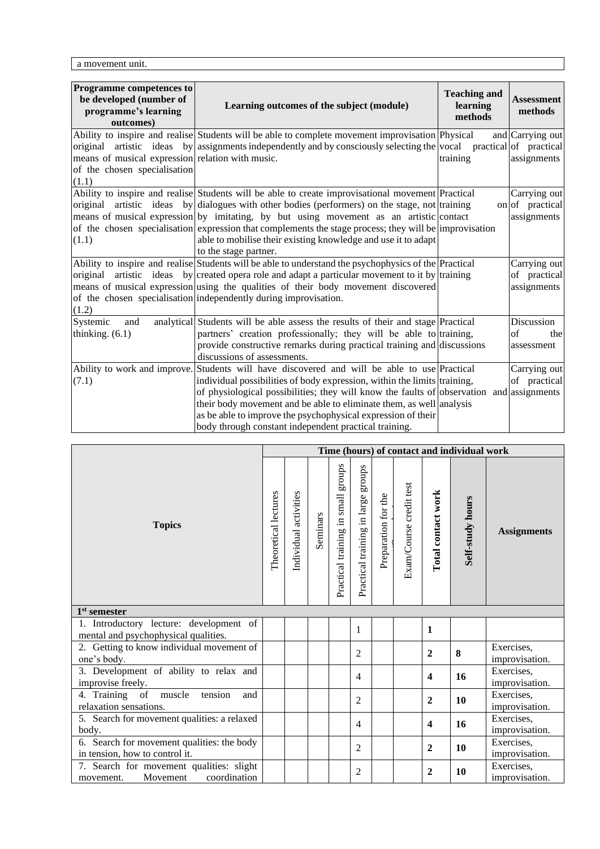a movement unit.

| Programme competences to<br>be developed (number of<br>programme's learning<br>outcomes)  | Learning outcomes of the subject (module)                                                                                                                                                                                                                                                                                                                                                                                                                                                         | <b>Teaching and</b><br>learning<br>methods | <b>Assessment</b><br>methods                              |
|-------------------------------------------------------------------------------------------|---------------------------------------------------------------------------------------------------------------------------------------------------------------------------------------------------------------------------------------------------------------------------------------------------------------------------------------------------------------------------------------------------------------------------------------------------------------------------------------------------|--------------------------------------------|-----------------------------------------------------------|
| means of musical expression relation with music.<br>of the chosen specialisation<br>(1.1) | Ability to inspire and realise Students will be able to complete movement improvisation Physical<br>original artistic ideas by assignments independently and by consciously selecting the vocal                                                                                                                                                                                                                                                                                                   | training                                   | and Carrying out<br>practical of practical<br>assignments |
| (1.1)                                                                                     | Ability to inspire and realise Students will be able to create improvisational movement Practical<br>original artistic ideas by dialogues with other bodies (performers) on the stage, not training<br>means of musical expression by imitating, by but using movement as an artistic contact<br>of the chosen specialisation expression that complements the stage process; they will be improvisation<br>able to mobilise their existing knowledge and use it to adapt<br>to the stage partner. |                                            | Carrying out<br>on of practical<br>assignments            |
| (1.2)                                                                                     | Ability to inspire and realise Students will be able to understand the psychophysics of the Practical<br>original artistic ideas by created opera role and adapt a particular movement to it by training<br>means of musical expression using the qualities of their body movement discovered<br>of the chosen specialisation independently during improvisation.                                                                                                                                 |                                            | Carrying out<br>of practical<br>assignments               |
| Systemic<br>and<br>thinking. $(6.1)$                                                      | analytical Students will be able assess the results of their and stage Practical<br>partners' creation professionally; they will be able to training,<br>provide constructive remarks during practical training and discussions<br>discussions of assessments.                                                                                                                                                                                                                                    |                                            | Discussion<br>of<br>the<br>assessment                     |
| Ability to work and improve.<br>(7.1)                                                     | Students will have discovered and will be able to use Practical<br>individual possibilities of body expression, within the limits training,<br>of physiological possibilities; they will know the faults of observation and assignments<br>their body movement and be able to eliminate them, as well analysis<br>as be able to improve the psychophysical expression of their<br>body through constant independent practical training.                                                           |                                            | Carrying out<br>of practical                              |

|                                                                                   | Time (hours) of contact and individual work |                       |          |                                       |                                    |                     |                         |                                    |                         |                              |
|-----------------------------------------------------------------------------------|---------------------------------------------|-----------------------|----------|---------------------------------------|------------------------------------|---------------------|-------------------------|------------------------------------|-------------------------|------------------------------|
| <b>Topics</b>                                                                     |                                             | Individual activities | Seminars | sdnora<br>Practical training in small | Practical training in large groups | Preparation for the | Exam/Course credit test | Total contact work                 | <b>Self-study hours</b> | <b>Assignments</b>           |
| $1st$ semester                                                                    |                                             |                       |          |                                       |                                    |                     |                         |                                    |                         |                              |
| 1. Introductory lecture: development of<br>mental and psychophysical qualities.   |                                             |                       |          |                                       | 1                                  |                     |                         | 1                                  |                         |                              |
| 2. Getting to know individual movement of<br>one's body.                          |                                             |                       |          |                                       | $\overline{c}$                     |                     |                         | $\mathbf{2}$                       | 8                       | Exercises,<br>improvisation. |
| 3. Development of ability to relax and<br>improvise freely.                       |                                             |                       |          |                                       | $\overline{4}$                     |                     |                         | 4                                  | 16                      | Exercises,<br>improvisation. |
| 4. Training of muscle<br>tension<br>and<br>relaxation sensations.                 |                                             |                       |          |                                       | $\overline{2}$                     |                     |                         | $\boldsymbol{2}$                   | 10                      | Exercises,<br>improvisation. |
| 5. Search for movement qualities: a relaxed<br>body.                              |                                             |                       |          |                                       | $\overline{4}$                     |                     |                         | $\overline{\mathbf{4}}$            | 16                      | Exercises,<br>improvisation. |
| 6. Search for movement qualities: the body<br>in tension, how to control it.      |                                             |                       |          |                                       | $\overline{2}$                     |                     |                         | Exercises,<br>10<br>$\overline{2}$ |                         | improvisation.               |
| 7. Search for movement qualities: slight<br>coordination<br>Movement<br>movement. |                                             |                       |          |                                       | $\overline{2}$                     |                     |                         | $\mathbf{2}$                       | 10                      | Exercises,<br>improvisation. |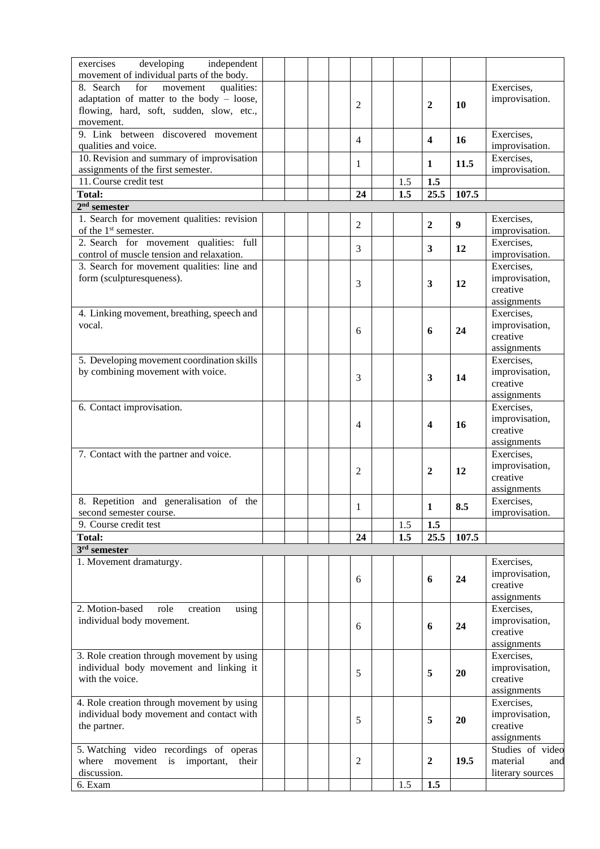| exercises<br>developing<br>independent       |  |                |     |                         |                  |                  |
|----------------------------------------------|--|----------------|-----|-------------------------|------------------|------------------|
| movement of individual parts of the body.    |  |                |     |                         |                  |                  |
| 8. Search<br>qualities:<br>for<br>movement   |  |                |     |                         |                  | Exercises,       |
| adaptation of matter to the body $-$ loose,  |  |                |     |                         |                  | improvisation.   |
| flowing, hard, soft, sudden, slow, etc.,     |  | 2              |     | 2                       | 10               |                  |
| movement.                                    |  |                |     |                         |                  |                  |
| 9. Link between discovered movement          |  |                |     |                         |                  | Exercises,       |
| qualities and voice.                         |  | 4              |     | $\overline{\mathbf{4}}$ | 16               | improvisation.   |
| 10. Revision and summary of improvisation    |  |                |     |                         |                  | Exercises,       |
| assignments of the first semester.           |  | 1              |     | 1                       | 11.5             | improvisation.   |
| 11. Course credit test                       |  |                | 1.5 | 1.5                     |                  |                  |
| <b>Total:</b>                                |  | 24             | 1.5 | 25.5                    | 107.5            |                  |
| $2nd$ semester                               |  |                |     |                         |                  |                  |
| 1. Search for movement qualities: revision   |  |                |     |                         |                  | Exercises,       |
| of the 1 <sup>st</sup> semester.             |  | $\overline{c}$ |     | $\boldsymbol{2}$        | $\boldsymbol{9}$ | improvisation.   |
| 2. Search for movement qualities: full       |  |                |     |                         |                  | Exercises,       |
| control of muscle tension and relaxation.    |  | 3              |     | $\overline{\mathbf{3}}$ | 12               | improvisation.   |
| 3. Search for movement qualities: line and   |  |                |     |                         |                  | Exercises,       |
| form (sculpturesqueness).                    |  |                |     |                         |                  | improvisation,   |
|                                              |  | 3              |     | 3                       | 12               | creative         |
|                                              |  |                |     |                         |                  | assignments      |
| 4. Linking movement, breathing, speech and   |  |                |     |                         |                  | Exercises,       |
| vocal.                                       |  |                |     |                         |                  | improvisation,   |
|                                              |  | 6              |     | 6                       | 24               | creative         |
|                                              |  |                |     |                         |                  | assignments      |
| 5. Developing movement coordination skills   |  |                |     |                         |                  | Exercises,       |
| by combining movement with voice.            |  |                |     |                         |                  | improvisation,   |
|                                              |  | 3              |     | 3                       | 14               | creative         |
|                                              |  |                |     |                         |                  | assignments      |
| 6. Contact improvisation.                    |  |                |     |                         |                  | Exercises,       |
|                                              |  |                |     |                         |                  | improvisation,   |
|                                              |  | 4              |     | 4                       | 16               | creative         |
|                                              |  |                |     |                         |                  | assignments      |
| 7. Contact with the partner and voice.       |  |                |     |                         |                  | Exercises.       |
|                                              |  |                |     |                         |                  | improvisation,   |
|                                              |  | 2              |     | 2                       | 12               | creative         |
|                                              |  |                |     |                         |                  | assignments      |
| 8. Repetition and generalisation of the      |  |                |     |                         |                  | Exercises,       |
| second semester course.                      |  | $\mathbf{1}$   |     | $\mathbf{1}$            | 8.5              | improvisation.   |
| 9. Course credit test                        |  |                | 1.5 | 1.5                     |                  |                  |
| <b>Total:</b>                                |  | 24             | 1.5 | 25.5                    | 107.5            |                  |
| $3rd$ semester                               |  |                |     |                         |                  |                  |
| 1. Movement dramaturgy.                      |  |                |     |                         |                  | Exercises,       |
|                                              |  |                |     |                         |                  | improvisation,   |
|                                              |  | 6              |     | 6                       | 24               | creative         |
|                                              |  |                |     |                         |                  | assignments      |
| 2. Motion-based<br>role<br>creation<br>using |  |                |     |                         |                  | Exercises,       |
| individual body movement.                    |  |                |     |                         |                  | improvisation,   |
|                                              |  | 6              |     | 6                       | 24               | creative         |
|                                              |  |                |     |                         |                  | assignments      |
| 3. Role creation through movement by using   |  |                |     |                         |                  | Exercises,       |
| individual body movement and linking it      |  |                |     |                         |                  | improvisation,   |
| with the voice.                              |  | 5              |     | 5                       | 20               | creative         |
|                                              |  |                |     |                         |                  | assignments      |
| 4. Role creation through movement by using   |  |                |     |                         |                  | Exercises,       |
| individual body movement and contact with    |  |                |     |                         |                  | improvisation,   |
| the partner.                                 |  | 5              |     | 5                       | 20               | creative         |
|                                              |  |                |     |                         |                  | assignments      |
| 5. Watching video recordings of operas       |  |                |     |                         |                  | Studies of video |
| where movement is important,<br>their        |  | 2              |     | $\boldsymbol{2}$        | 19.5             | material<br>and  |
| discussion.                                  |  |                |     |                         |                  |                  |
|                                              |  |                |     |                         |                  |                  |
| 6. Exam                                      |  |                | 1.5 | 1.5                     |                  | literary sources |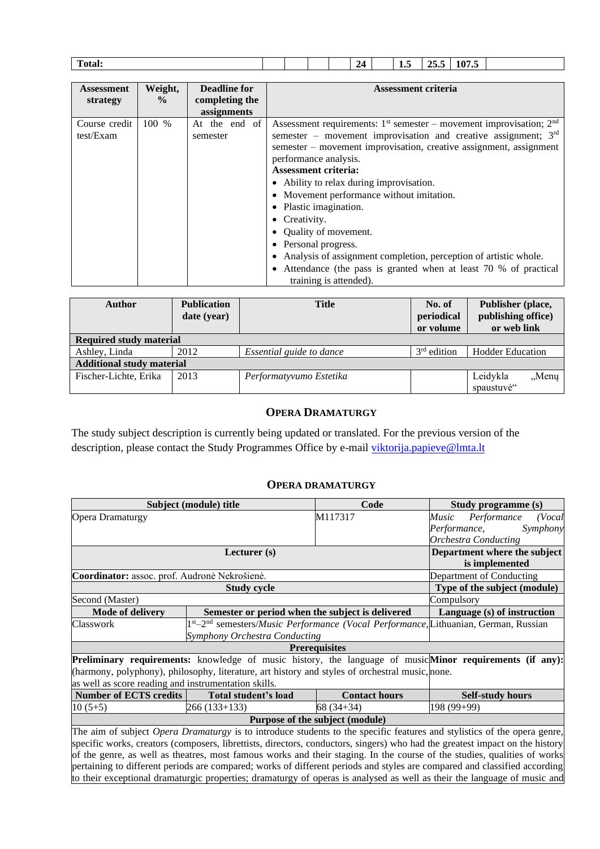| <b>PERS</b><br><b>Total:</b> |  |  | 24<br>- | ⊥•~ | $\mathbf{A}$<br>نەن سەر<br>. | $\mathbf{A}$<br>--<br>10 I IV |  |
|------------------------------|--|--|---------|-----|------------------------------|-------------------------------|--|
|                              |  |  |         |     |                              |                               |  |

| <b>Assessment</b><br>strategy | Weight,<br>$\frac{0}{0}$ | <b>Deadline for</b><br>completing the<br>assignments | Assessment criteria                                                                                                                                                                                                                                                                                                                                                                                                                                                                                                                                                                                                                  |
|-------------------------------|--------------------------|------------------------------------------------------|--------------------------------------------------------------------------------------------------------------------------------------------------------------------------------------------------------------------------------------------------------------------------------------------------------------------------------------------------------------------------------------------------------------------------------------------------------------------------------------------------------------------------------------------------------------------------------------------------------------------------------------|
| Course credit<br>test/Exam    | 100 %                    | At the end of<br>semester                            | Assessment requirements: $1st$ semester – movement improvisation; $2nd$<br>semester – movement improvisation and creative assignment; $3rd$<br>semester – movement improvisation, creative assignment, assignment<br>performance analysis.<br><b>Assessment criteria:</b><br>• Ability to relax during improvisation.<br>• Movement performance without imitation.<br>• Plastic imagination.<br>• Creativity.<br>• Quality of movement.<br>• Personal progress.<br>• Analysis of assignment completion, perception of artistic whole.<br>• Attendance (the pass is granted when at least 70 % of practical<br>training is attended). |

| Author                           | <b>Publication</b><br>date (year) | <b>Title</b>             | No. of<br>periodical<br>or volume | Publisher (place,<br>publishing office)<br>or web link |  |  |  |  |  |  |
|----------------------------------|-----------------------------------|--------------------------|-----------------------------------|--------------------------------------------------------|--|--|--|--|--|--|
| <b>Required study material</b>   |                                   |                          |                                   |                                                        |  |  |  |  |  |  |
| Ashley, Linda                    | 2012                              | Essential guide to dance | $3rd$ edition                     | <b>Hodder Education</b>                                |  |  |  |  |  |  |
| <b>Additional study material</b> |                                   |                          |                                   |                                                        |  |  |  |  |  |  |
| Fischer-Lichte, Erika            | 2013                              | Performatyvumo Estetika  |                                   | Leidykla<br>"Menų<br>spaustuvė"                        |  |  |  |  |  |  |

### **OPERA DRAMATURGY**

<span id="page-12-0"></span>The study subject description is currently being updated or translated. For the previous version of the description, please contact the Study Programmes Office by e-mail [viktorija.papieve@lmta.lt](mailto:viktorija.papieve@lmta.lt)

### **OPERA DRAMATURGY**

<span id="page-12-1"></span>

|                                                                                                                          | Subject (module) title<br>Code                                                                                               |                                 |                                                                                                                                 |  |  |  |  |  |  |
|--------------------------------------------------------------------------------------------------------------------------|------------------------------------------------------------------------------------------------------------------------------|---------------------------------|---------------------------------------------------------------------------------------------------------------------------------|--|--|--|--|--|--|
| Opera Dramaturgy                                                                                                         |                                                                                                                              | M117317                         | Performance<br>Music<br>(Vocal                                                                                                  |  |  |  |  |  |  |
|                                                                                                                          |                                                                                                                              |                                 | Performance,<br>Symphony                                                                                                        |  |  |  |  |  |  |
|                                                                                                                          |                                                                                                                              |                                 | <b>Orchestra Conducting</b>                                                                                                     |  |  |  |  |  |  |
|                                                                                                                          | Department where the subject                                                                                                 |                                 |                                                                                                                                 |  |  |  |  |  |  |
|                                                                                                                          | is implemented                                                                                                               |                                 |                                                                                                                                 |  |  |  |  |  |  |
| Coordinator: assoc. prof. Audronė Nekrošienė.                                                                            |                                                                                                                              |                                 | Department of Conducting                                                                                                        |  |  |  |  |  |  |
|                                                                                                                          | <b>Study cycle</b>                                                                                                           |                                 | Type of the subject (module)                                                                                                    |  |  |  |  |  |  |
| Second (Master)                                                                                                          | Compulsory                                                                                                                   |                                 |                                                                                                                                 |  |  |  |  |  |  |
| <b>Mode of delivery</b>                                                                                                  | Semester or period when the subject is delivered                                                                             | Language (s) of instruction     |                                                                                                                                 |  |  |  |  |  |  |
| Classwork                                                                                                                | 1st-2 <sup>nd</sup> semesters/ <i>Music Performance</i> (Vocal Performance, Lithuanian, German, Russian                      |                                 |                                                                                                                                 |  |  |  |  |  |  |
|                                                                                                                          | <b>Symphony Orchestra Conducting</b>                                                                                         |                                 |                                                                                                                                 |  |  |  |  |  |  |
|                                                                                                                          | <b>Prerequisites</b>                                                                                                         |                                 |                                                                                                                                 |  |  |  |  |  |  |
|                                                                                                                          |                                                                                                                              |                                 | Preliminary requirements: knowledge of music history, the language of music Minor requirements (if any):                        |  |  |  |  |  |  |
|                                                                                                                          | (harmony, polyphony), philosophy, literature, art history and styles of orchestral music, none.                              |                                 |                                                                                                                                 |  |  |  |  |  |  |
| as well as score reading and instrumentation skills.                                                                     |                                                                                                                              |                                 |                                                                                                                                 |  |  |  |  |  |  |
| <b>Number of ECTS credits</b>                                                                                            | Total student's load                                                                                                         | <b>Contact hours</b>            | <b>Self-study hours</b>                                                                                                         |  |  |  |  |  |  |
| $10(5+5)$                                                                                                                | 266 (133+133)                                                                                                                | $68(34+34)$                     | 198 (99+99)                                                                                                                     |  |  |  |  |  |  |
|                                                                                                                          |                                                                                                                              | Purpose of the subject (module) |                                                                                                                                 |  |  |  |  |  |  |
|                                                                                                                          |                                                                                                                              |                                 | The aim of subject <i>Opera Dramaturgy</i> is to introduce students to the specific features and stylistics of the opera genre, |  |  |  |  |  |  |
|                                                                                                                          | specific works, creators (composers, librettists, directors, conductors, singers) who had the greatest impact on the history |                                 |                                                                                                                                 |  |  |  |  |  |  |
| of the genre, as well as theatres, most famous works and their staging. In the course of the studies, qualities of works |                                                                                                                              |                                 |                                                                                                                                 |  |  |  |  |  |  |
|                                                                                                                          |                                                                                                                              |                                 | pertaining to different periods are compared; works of different periods and styles are compared and classified according       |  |  |  |  |  |  |
|                                                                                                                          |                                                                                                                              |                                 | to their exceptional dramaturgic properties; dramaturgy of operas is analysed as well as their the language of music and        |  |  |  |  |  |  |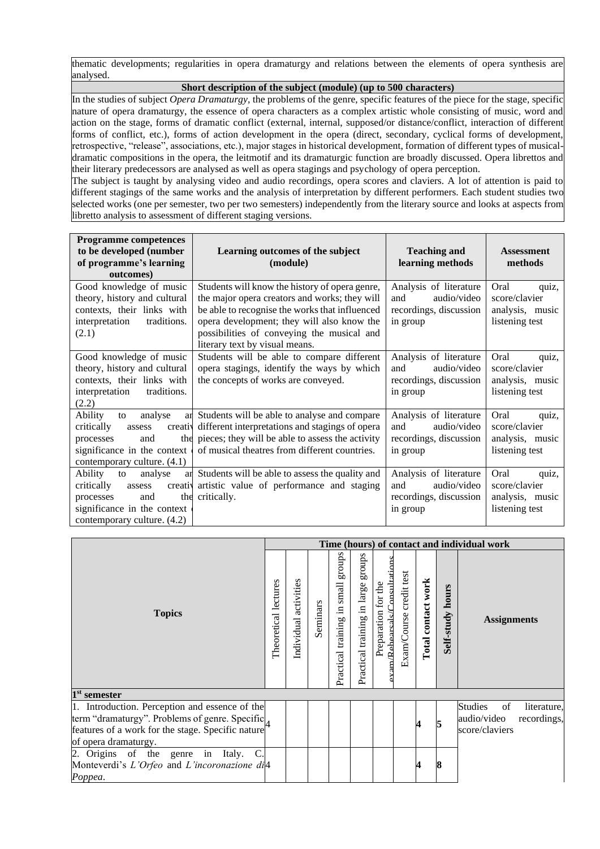thematic developments; regularities in opera dramaturgy and relations between the elements of opera synthesis are analysed.

**Short description of the subject (module) (up to 500 characters)**

In the studies of subject *Opera Dramaturgy*, the problems of the genre, specific features of the piece for the stage, specific nature of opera dramaturgy, the essence of opera characters as a complex artistic whole consisting of music, word and action on the stage, forms of dramatic conflict (external, internal, supposed/or distance/conflict, interaction of different forms of conflict, etc.), forms of action development in the opera (direct, secondary, cyclical forms of development, retrospective, "release", associations, etc.), major stages in historical development, formation of different types of musicaldramatic compositions in the opera, the leitmotif and its dramaturgic function are broadly discussed. Opera librettos and their literary predecessors are analysed as well as opera stagings and psychology of opera perception.

The subject is taught by analysing video and audio recordings, opera scores and claviers. A lot of attention is paid to different stagings of the same works and the analysis of interpretation by different performers. Each student studies two selected works (one per semester, two per two semesters) independently from the literary source and looks at aspects from libretto analysis to assessment of different staging versions.

| <b>Programme competences</b>    |                                                      |                        |                   |
|---------------------------------|------------------------------------------------------|------------------------|-------------------|
| to be developed (number         | Learning outcomes of the subject                     | <b>Teaching and</b>    | <b>Assessment</b> |
| of programme's learning         | (module)                                             | learning methods       | methods           |
| outcomes)                       |                                                      |                        |                   |
| Good knowledge of music         | Students will know the history of opera genre,       | Analysis of literature | Oral<br>quiz,     |
| theory, history and cultural    | the major opera creators and works; they will        | audio/video<br>and     | score/clavier     |
| contexts, their links with      | be able to recognise the works that influenced       | recordings, discussion | analysis, music   |
| traditions.<br>interpretation   | opera development; they will also know the           | in group               | listening test    |
| (2.1)                           | possibilities of conveying the musical and           |                        |                   |
|                                 | literary text by visual means.                       |                        |                   |
| Good knowledge of music         | Students will be able to compare different           | Analysis of literature | Oral<br>quiz,     |
| theory, history and cultural    | opera stagings, identify the ways by which           | audio/video<br>and     | score/clavier     |
| contexts, their links with      | the concepts of works are conveyed.                  | recordings, discussion | analysis, music   |
| traditions.<br>interpretation   |                                                      | in group               | listening test    |
| (2.2)                           |                                                      |                        |                   |
| Ability<br>analyse<br>to        | an Students will be able to analyse and compare      | Analysis of literature | Oral<br>quiz,     |
| critically<br>creativ<br>assess | different interpretations and stagings of opera      | and<br>audio/video     | score/clavier     |
| and<br>processes                | the pieces; they will be able to assess the activity | recordings, discussion | analysis, music   |
| significance in the context     | of musical theatres from different countries.        | in group               | listening test    |
| contemporary culture. (4.1)     |                                                      |                        |                   |
| Ability<br>analyse<br>to<br>ar  | Students will be able to assess the quality and      | Analysis of literature | Oral<br>quiz,     |
| critically<br>creativ<br>assess | artistic value of performance and staging            | audio/video<br>and     | score/clavier     |
| the<br>processes<br>and         | critically.                                          | recordings, discussion | analysis, music   |
| significance in the context     |                                                      | in group               | listening test    |
| contemporary culture. (4.2)     |                                                      |                        |                   |

|                                                                                                                                                                               | Time (hours) of contact and individual work |                       |          |                                                |                                       |                                                                       |                         |                    |                     |                                                                                     |  |
|-------------------------------------------------------------------------------------------------------------------------------------------------------------------------------|---------------------------------------------|-----------------------|----------|------------------------------------------------|---------------------------------------|-----------------------------------------------------------------------|-------------------------|--------------------|---------------------|-------------------------------------------------------------------------------------|--|
| <b>Topics</b>                                                                                                                                                                 | Theoretical lectures                        | Individual activities | Seminars | sdnora<br>small<br>$\Xi$<br>Practical training | groups<br>Practical training in large | m/Rehearcalc/Consultati<br>the<br>$\operatorname{fot}$<br>Preparation | Exam/Course credit test | Total contact work | hours<br>Self-study | <b>Assignments</b>                                                                  |  |
| $1st$ semester                                                                                                                                                                |                                             |                       |          |                                                |                                       |                                                                       |                         |                    |                     |                                                                                     |  |
| 1. Introduction. Perception and essence of the<br>term "dramaturgy". Problems of genre. Specific<br>features of a work for the stage. Specific nature<br>of opera dramaturgy. |                                             |                       |          |                                                |                                       |                                                                       |                         | 4                  | 5                   | <b>Studies</b><br>of<br>literature,<br>audio/video<br>recordings,<br>score/claviers |  |
| 2. Origins of the genre in Italy. C.<br>Monteverdi's L'Orfeo and L'incoronazione di <sup>4</sup><br>Poppea.                                                                   |                                             |                       |          |                                                |                                       |                                                                       |                         |                    | 8                   |                                                                                     |  |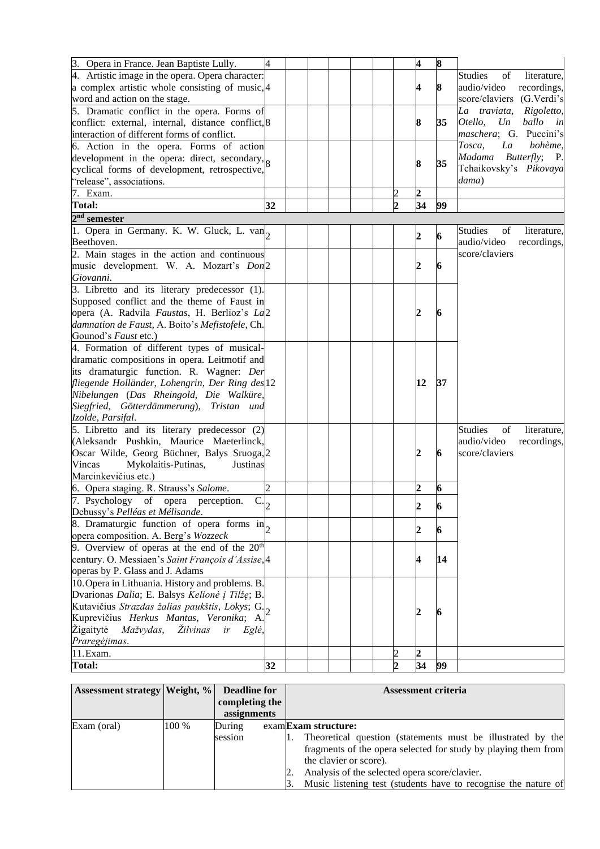| 3. Opera in France. Jean Baptiste Lully.                           | 4              |  |  |                             | 4                       | 8                |                                     |
|--------------------------------------------------------------------|----------------|--|--|-----------------------------|-------------------------|------------------|-------------------------------------|
|                                                                    |                |  |  |                             |                         |                  | <b>Studies</b>                      |
| 4. Artistic image in the opera. Opera character:                   |                |  |  |                             |                         |                  | of<br>literature,                   |
| a complex artistic whole consisting of music, 4                    |                |  |  |                             | 4                       | 8                | audio/video<br>recordings,          |
| word and action on the stage.                                      |                |  |  |                             |                         |                  | score/claviers (G.Verdi's           |
| 5. Dramatic conflict in the opera. Forms of                        |                |  |  |                             |                         |                  | La traviata,<br>Rigoletto,          |
| conflict: external, internal, distance conflict, 8                 |                |  |  |                             | 8                       | 35               | Otello,<br>Un<br>ballo in           |
| interaction of different forms of conflict.                        |                |  |  |                             |                         |                  | maschera; G. Puccini's              |
| 6. Action in the opera. Forms of action                            |                |  |  |                             |                         |                  | Tosca,<br>La<br>bohème,             |
| development in the opera: direct, secondary, $\vert_{\mathcal{R}}$ |                |  |  |                             | 8                       | 35               | Madama<br><i>Butterfly</i> ; P.     |
| cyclical forms of development, retrospective,                      |                |  |  |                             |                         |                  | Tchaikovsky's Pikovaya              |
| "release", associations.                                           |                |  |  |                             |                         |                  | dama)                               |
| 7. Exam.                                                           |                |  |  | 2                           | $\overline{c}$          |                  |                                     |
| <b>Total:</b>                                                      | 32             |  |  | $\mathfrak{D}$              | 34                      | 99               |                                     |
| $2nd$ semester                                                     |                |  |  |                             |                         |                  |                                     |
| 1. Opera in Germany. K. W. Gluck, L. van                           |                |  |  |                             |                         |                  | <b>Studies</b><br>of<br>literature, |
| Beethoven.                                                         |                |  |  |                             | 2                       | $\boldsymbol{6}$ | audio/video<br>recordings,          |
|                                                                    |                |  |  |                             |                         |                  | score/claviers                      |
| 2. Main stages in the action and continuous                        |                |  |  |                             |                         |                  |                                     |
| music development. W. A. Mozart's Don2                             |                |  |  |                             | 2                       | 6                |                                     |
| Giovanni.                                                          |                |  |  |                             |                         |                  |                                     |
| 3. Libretto and its literary predecessor (1).                      |                |  |  |                             |                         |                  |                                     |
| Supposed conflict and the theme of Faust in                        |                |  |  |                             |                         |                  |                                     |
| opera (A. Radvila Faustas, H. Berlioz's La2                        |                |  |  |                             | 2                       | 6                |                                     |
| damnation de Faust, A. Boito's Mefistofele, Ch.                    |                |  |  |                             |                         |                  |                                     |
| Gounod's Faust etc.)                                               |                |  |  |                             |                         |                  |                                     |
| 4. Formation of different types of musical-                        |                |  |  |                             |                         |                  |                                     |
| dramatic compositions in opera. Leitmotif and                      |                |  |  |                             |                         |                  |                                     |
| its dramaturgic function. R. Wagner: Der                           |                |  |  |                             |                         |                  |                                     |
| fliegende Holländer, Lohengrin, Der Ring des 12                    |                |  |  |                             | 12                      | 37               |                                     |
| Nibelungen (Das Rheingold, Die Walküre,                            |                |  |  |                             |                         |                  |                                     |
| Siegfried, Götterdämmerung), Tristan und                           |                |  |  |                             |                         |                  |                                     |
| Izolde, Parsifal.                                                  |                |  |  |                             |                         |                  |                                     |
| 5. Libretto and its literary predecessor (2)                       |                |  |  |                             |                         |                  | <b>Studies</b><br>of<br>literature, |
| (Aleksandr Pushkin, Maurice Maeterlinck,                           |                |  |  |                             |                         |                  | audio/video<br>recordings,          |
| Oscar Wilde, Georg Büchner, Balys Sruoga, 2                        |                |  |  |                             | $\boldsymbol{2}$        | 6                | score/claviers                      |
| Vincas<br>Mykolaitis-Putinas,<br>Justinas                          |                |  |  |                             |                         |                  |                                     |
| Marcinkevičius etc.)                                               |                |  |  |                             |                         |                  |                                     |
|                                                                    | $\overline{2}$ |  |  |                             | $\overline{c}$          | 6                |                                     |
| 6. Opera staging. R. Strauss's Salome.                             |                |  |  |                             |                         |                  |                                     |
| 7. Psychology of opera perception.<br>$\overline{c}$ <sub>2</sub>  |                |  |  |                             | $\overline{2}$          | 6                |                                     |
| Debussy's Pelléas et Mélisande.                                    |                |  |  |                             |                         |                  |                                     |
| 8. Dramaturgic function of opera forms in                          |                |  |  |                             | $\overline{2}$          | 6                |                                     |
| opera composition. A. Berg's Wozzeck                               |                |  |  |                             |                         |                  |                                     |
| 9. Overview of operas at the end of the $20th$                     |                |  |  |                             |                         |                  |                                     |
| century. O. Messiaen's Saint François d'Assise, 4                  |                |  |  |                             | 4                       | 14               |                                     |
| operas by P. Glass and J. Adams                                    |                |  |  |                             |                         |                  |                                     |
| 10. Opera in Lithuania. History and problems. B.                   |                |  |  |                             |                         |                  |                                     |
| Dvarionas Dalia; E. Balsys Kelionė į Tilžę; B.                     |                |  |  |                             |                         |                  |                                     |
| Kutavičius Strazdas žalias paukštis, Lokys; G.                     |                |  |  |                             | $\overline{\mathbf{2}}$ |                  |                                     |
| Kuprevičius Herkus Mantas, Veronika; A.                            |                |  |  |                             |                         | 6                |                                     |
| Žigaitytė<br>Mažvydas, Žilvinas<br>ir<br>Eglė,                     |                |  |  |                             |                         |                  |                                     |
| Praregėjimas.                                                      |                |  |  |                             |                         |                  |                                     |
| 11.Exam.                                                           |                |  |  |                             | $\overline{2}$          |                  |                                     |
| <b>Total:</b>                                                      | 32             |  |  | $\mathcal{D}_{\mathcal{L}}$ | 34                      | 99               |                                     |

| <b>Assessment strategy   Weight, %  </b> |       | <b>Deadline for</b> |  | <b>Assessment criteria</b>                                     |
|------------------------------------------|-------|---------------------|--|----------------------------------------------------------------|
|                                          |       | completing the      |  |                                                                |
|                                          |       | assignments         |  |                                                                |
| Exam (oral)                              | 100 % | During              |  | examExam structure:                                            |
|                                          |       | session             |  | Theoretical question (statements must be illustrated by the    |
|                                          |       |                     |  | fragments of the opera selected for study by playing them from |
|                                          |       |                     |  | the clavier or score).                                         |
|                                          |       |                     |  | Analysis of the selected opera score/clavier.                  |
|                                          |       |                     |  | Music listening test (students have to recognise the nature of |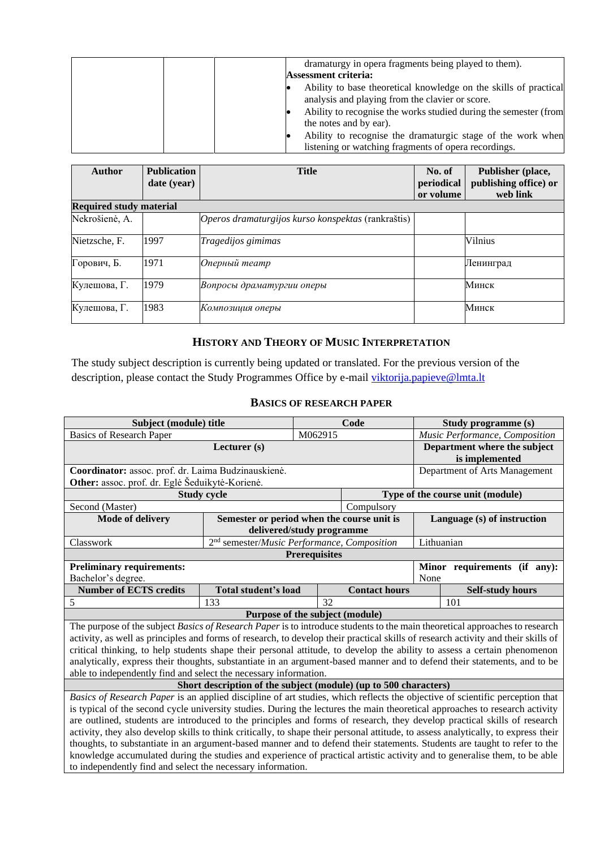| dramaturgy in opera fragments being played to them).<br><b>Assessment criteria:</b>                                                                                                                                                                                              |
|----------------------------------------------------------------------------------------------------------------------------------------------------------------------------------------------------------------------------------------------------------------------------------|
| Ability to base theoretical knowledge on the skills of practical<br>analysis and playing from the clavier or score.<br>Ability to recognise the works studied during the semester (from<br>the notes and by ear).<br>Ability to recognise the dramaturgic stage of the work when |
| listening or watching fragments of opera recordings.                                                                                                                                                                                                                             |

| <b>Author</b>                  | <b>Publication</b><br>date (year) | <b>Title</b>                                       | No. of<br>periodical<br>or volume | Publisher (place,<br>publishing office) or<br>web link |
|--------------------------------|-----------------------------------|----------------------------------------------------|-----------------------------------|--------------------------------------------------------|
| <b>Required study material</b> |                                   |                                                    |                                   |                                                        |
| Nekrošienė, A.                 |                                   | Operos dramaturgijos kurso konspektas (rankraštis) |                                   |                                                        |
| Nietzsche, F.                  | 1997                              | Tragedijos gimimas                                 |                                   | Vilnius                                                |
| Горович, Б.                    | 1971                              | Оперный театр                                      |                                   | Ленинград                                              |
| Кулешова, Г.                   | 1979                              | Вопросы драматургии оперы                          |                                   | Минск                                                  |
| Кулешова, Г.                   | 1983                              | Композиция оперы                                   |                                   | Минск                                                  |

## **HISTORY AND THEORY OF MUSIC INTERPRETATION**

<span id="page-15-0"></span>The study subject description is currently being updated or translated. For the previous version of the description, please contact the Study Programmes Office by e-mail [viktorija.papieve@lmta.lt](mailto:viktorija.papieve@lmta.lt)

### **BASICS OF RESEARCH PAPER**

<span id="page-15-1"></span>

| Subject (module) title                                                                                                             |                                                                  |                               | Code                 | Study programme (s) |                                  |  |  |
|------------------------------------------------------------------------------------------------------------------------------------|------------------------------------------------------------------|-------------------------------|----------------------|---------------------|----------------------------------|--|--|
| <b>Basics of Research Paper</b>                                                                                                    |                                                                  | M062915                       |                      |                     | Music Performance, Composition   |  |  |
|                                                                                                                                    | Lecturer (s)                                                     |                               |                      |                     | Department where the subject     |  |  |
|                                                                                                                                    |                                                                  |                               |                      | is implemented      |                                  |  |  |
| Coordinator: assoc. prof. dr. Laima Budzinauskienė.                                                                                |                                                                  | Department of Arts Management |                      |                     |                                  |  |  |
| Other: assoc. prof. dr. Eglė Šeduikytė-Korienė.                                                                                    |                                                                  |                               |                      |                     |                                  |  |  |
|                                                                                                                                    | <b>Study cycle</b>                                               |                               |                      |                     | Type of the course unit (module) |  |  |
| Second (Master)                                                                                                                    |                                                                  |                               | Compulsory           |                     |                                  |  |  |
| Mode of delivery                                                                                                                   | Semester or period when the course unit is                       |                               |                      |                     | Language (s) of instruction      |  |  |
|                                                                                                                                    | delivered/study programme                                        |                               |                      |                     |                                  |  |  |
| Classwork                                                                                                                          | 2 <sup>nd</sup> semester/Music Performance, Composition          |                               |                      |                     |                                  |  |  |
|                                                                                                                                    |                                                                  | <b>Prerequisites</b>          |                      |                     |                                  |  |  |
| <b>Preliminary requirements:</b>                                                                                                   |                                                                  |                               |                      |                     | Minor requirements (if any):     |  |  |
| Bachelor's degree.                                                                                                                 |                                                                  |                               |                      | None                |                                  |  |  |
| <b>Number of ECTS credits</b>                                                                                                      | <b>Total student's load</b>                                      |                               | <b>Contact hours</b> |                     | <b>Self-study hours</b>          |  |  |
| 5                                                                                                                                  | 133                                                              | 32                            |                      |                     | 101                              |  |  |
|                                                                                                                                    | Purpose of the subject (module)                                  |                               |                      |                     |                                  |  |  |
| The purpose of the subject Basics of Research Paper is to introduce students to the main theoretical approaches to research        |                                                                  |                               |                      |                     |                                  |  |  |
| activity, as well as principles and forms of research, to develop their practical skills of research activity and their skills of  |                                                                  |                               |                      |                     |                                  |  |  |
| critical thinking, to help students shape their personal attitude, to develop the ability to assess a certain phenomenon           |                                                                  |                               |                      |                     |                                  |  |  |
| analytically, express their thoughts, substantiate in an argument-based manner and to defend their statements, and to be           |                                                                  |                               |                      |                     |                                  |  |  |
| able to independently find and select the necessary information.                                                                   |                                                                  |                               |                      |                     |                                  |  |  |
|                                                                                                                                    | Short description of the subject (module) (up to 500 characters) |                               |                      |                     |                                  |  |  |
| Basics of Research Paper is an applied discipline of art studies, which reflects the objective of scientific perception that       |                                                                  |                               |                      |                     |                                  |  |  |
| is typical of the second cycle university studies. During the lectures the main theoretical approaches to research activity        |                                                                  |                               |                      |                     |                                  |  |  |
| are outlined, students are introduced to the principles and forms of research, they develop practical skills of research           |                                                                  |                               |                      |                     |                                  |  |  |
| activity, they also develop skills to think critically, to shape their personal attitude, to assess analytically, to express their |                                                                  |                               |                      |                     |                                  |  |  |
| thoughts, to substantiate in an argument-based manner and to defend their statements. Students are taught to refer to the          |                                                                  |                               |                      |                     |                                  |  |  |
| knowledge accumulated during the studies and experience of practical artistic activity and to generalise them, to be able          |                                                                  |                               |                      |                     |                                  |  |  |
| to independently find and select the necessary information.                                                                        |                                                                  |                               |                      |                     |                                  |  |  |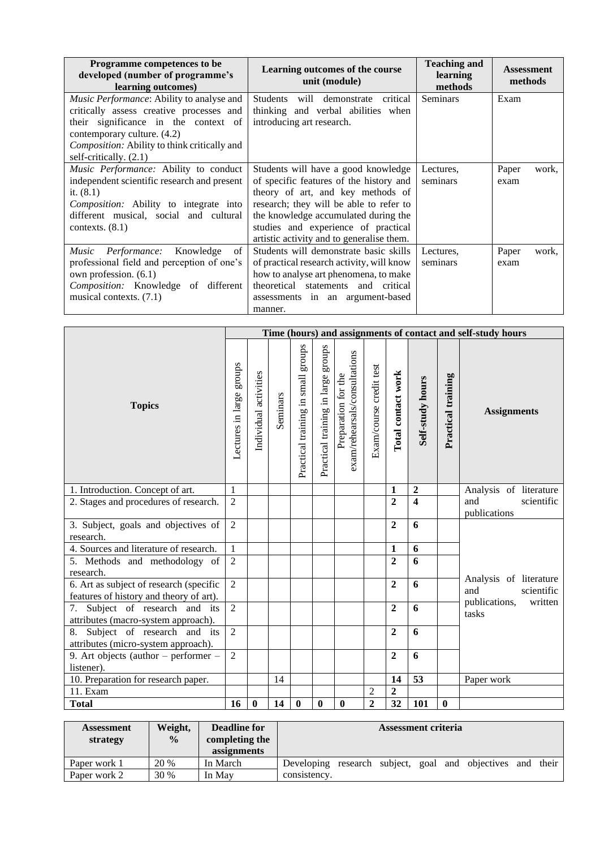| Programme competences to be<br>developed (number of programme's<br>learning outcomes)                                                                                                                                                                | Learning outcomes of the course<br>unit (module)                                                                                                                                                                                                                                           | <b>Teaching and</b><br>learning<br>methods | <b>Assessment</b><br>methods |
|------------------------------------------------------------------------------------------------------------------------------------------------------------------------------------------------------------------------------------------------------|--------------------------------------------------------------------------------------------------------------------------------------------------------------------------------------------------------------------------------------------------------------------------------------------|--------------------------------------------|------------------------------|
| <i>Music Performance:</i> Ability to analyse and<br>critically assess creative processes and<br>their significance in the context of<br>contemporary culture. (4.2)<br><i>Composition:</i> Ability to think critically and<br>self-critically. (2.1) | Students<br>will demonstrate critical<br>thinking and verbal abilities when<br>introducing art research.                                                                                                                                                                                   | <b>Seminars</b>                            | Exam                         |
| Music Performance: Ability to conduct<br>independent scientific research and present<br>it. $(8.1)$<br>Composition: Ability to integrate into<br>different musical, social and cultural<br>contexts. $(8.1)$                                         | Students will have a good knowledge<br>of specific features of the history and<br>theory of art, and key methods of<br>research; they will be able to refer to<br>the knowledge accumulated during the<br>studies and experience of practical<br>artistic activity and to generalise them. | Lectures,<br>seminars                      | Paper<br>work,<br>exam       |
| Music Performance: Knowledge<br>of<br>professional field and perception of one's<br>own profession. (6.1)<br><i>Composition:</i> Knowledge of different<br>musical contexts. (7.1)                                                                   | Students will demonstrate basic skills<br>of practical research activity, will know<br>how to analyse art phenomena, to make<br>theoretical statements and critical<br>assessments in an argument-based<br>manner.                                                                         | Lectures,<br>seminars                      | Paper<br>work,<br>exam       |

|                                                                                    |                          |                       |          |                                    |                                       |                                                      |                         |                    |                         |                    | Time (hours) and assignments of contact and self-study hours |  |
|------------------------------------------------------------------------------------|--------------------------|-----------------------|----------|------------------------------------|---------------------------------------|------------------------------------------------------|-------------------------|--------------------|-------------------------|--------------------|--------------------------------------------------------------|--|
| <b>Topics</b>                                                                      | Lectures in large groups | Individual activities | Seminars | Practical training in small groups | stonbs<br>Practical training in large | exam/rehearsals/consultations<br>Preparation for the | Exam/course credit test | Total contact work | Self-study hours        | Practical training | <b>Assignments</b>                                           |  |
| 1. Introduction. Concept of art.                                                   | $\mathbf{1}$             |                       |          |                                    |                                       |                                                      |                         | 1                  | $\overline{2}$          |                    | Analysis of literature                                       |  |
| 2. Stages and procedures of research.                                              | $\overline{2}$           |                       |          |                                    |                                       |                                                      |                         | $\overline{2}$     | $\overline{\mathbf{4}}$ |                    | and<br>scientific<br>publications                            |  |
| 3. Subject, goals and objectives of<br>research.                                   | $\overline{2}$           |                       |          |                                    |                                       |                                                      |                         | $\overline{2}$     | 6                       |                    |                                                              |  |
| 4. Sources and literature of research.                                             | 1                        |                       |          |                                    |                                       |                                                      |                         | 1                  | 6                       |                    |                                                              |  |
| 5. Methods and methodology of<br>research.                                         | $\overline{2}$           |                       |          |                                    |                                       |                                                      |                         | $\overline{2}$     | 6                       |                    |                                                              |  |
| 6. Art as subject of research (specific<br>features of history and theory of art). | $\overline{2}$           |                       |          |                                    |                                       |                                                      |                         | $\overline{2}$     | 6                       |                    | Analysis of literature<br>and<br>scientific                  |  |
| 7. Subject of research and its<br>attributes (macro-system approach).              | $\overline{2}$           |                       |          |                                    |                                       |                                                      |                         | $\mathbf{2}$       | 6                       |                    | publications,<br>written<br>tasks                            |  |
| 8. Subject of research and its<br>attributes (micro-system approach).              | $\overline{2}$           |                       |          |                                    |                                       |                                                      |                         | $\overline{2}$     | 6                       |                    |                                                              |  |
| 9. Art objects (author $-$ performer $-$<br>listener).                             | $\overline{2}$           |                       |          |                                    |                                       |                                                      |                         | $\overline{2}$     | 6                       |                    |                                                              |  |
| 10. Preparation for research paper.                                                |                          |                       | 14       |                                    |                                       |                                                      |                         | 14                 | 53                      |                    | Paper work                                                   |  |
| 11. Exam                                                                           |                          |                       |          |                                    |                                       |                                                      | $\overline{2}$          | $\overline{2}$     |                         |                    |                                                              |  |
| <b>Total</b>                                                                       | 16                       | $\bf{0}$              | 14       | $\bf{0}$                           | $\boldsymbol{0}$                      | $\bf{0}$                                             | $\overline{2}$          | $\overline{32}$    | 101                     | $\bf{0}$           |                                                              |  |

| <b>Assessment</b><br>strategy | Weight,<br>$\frac{0}{0}$ | <b>Deadline for</b><br>completing the<br>assignments | <b>Assessment criteria</b>        |  |  |  |  |                |     |       |
|-------------------------------|--------------------------|------------------------------------------------------|-----------------------------------|--|--|--|--|----------------|-----|-------|
| Paper work 1                  | 20 %                     | In March                                             | Developing research subject, goal |  |  |  |  | and objectives | and | their |
| Paper work 2                  | 30 %                     | In May                                               | consistency.                      |  |  |  |  |                |     |       |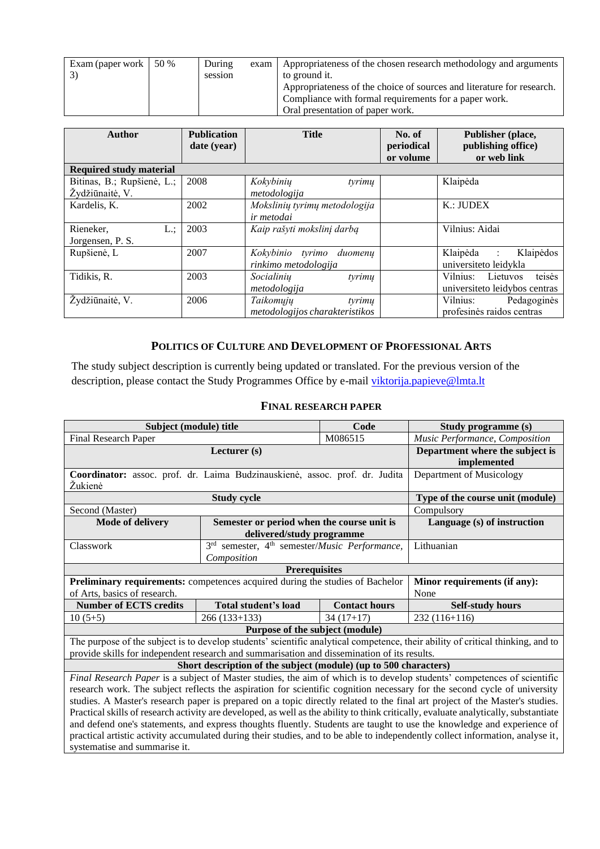| Exam (paper work | 50 % | During  | exam | Appropriateness of the chosen research methodology and arguments      |
|------------------|------|---------|------|-----------------------------------------------------------------------|
|                  |      | session |      | to ground it.                                                         |
|                  |      |         |      | Appropriateness of the choice of sources and literature for research. |
|                  |      |         |      | Compliance with formal requirements for a paper work.                 |
|                  |      |         |      | Oral presentation of paper work.                                      |

| Author                                        | <b>Publication</b><br>date (year) | <b>Title</b>                                          | No. of<br>periodical<br>or volume | Publisher (place,<br>publishing office)<br>or web link        |
|-----------------------------------------------|-----------------------------------|-------------------------------------------------------|-----------------------------------|---------------------------------------------------------------|
| <b>Required study material</b>                |                                   |                                                       |                                   |                                                               |
| Bitinas, B.; Rupšienė, L.;<br>Žydžiūnaitė, V. | 2008                              | tyrimų<br>Kokybinių<br>metodologija                   |                                   | Klaipėda                                                      |
| Kardelis, K.                                  | 2002                              | Mokslinių tyrimų metodologija<br>ir metodai           |                                   | K.: JUDEX                                                     |
| Rieneker,<br>L:<br>Jorgensen, P. S.           | 2003                              | Kaip rašyti mokslinį darbą                            |                                   | Vilnius: Aidai                                                |
| Rupšienė, L                                   | 2007                              | Kokybinio tyrimo<br>duomenų<br>rinkimo metodologija   |                                   | Klaipėda :<br>Klaipėdos<br>universiteto leidykla              |
| Tidikis, R.                                   | 2003                              | Socialinių<br>tyrimų<br>metodologija                  |                                   | teisės<br>Vilnius: Lietuvos<br>universite to leidybos centras |
| Žydžiūnaitė, V.                               | 2006                              | Taikomųjų<br>tyrimų<br>metodologijos charakteristikos |                                   | Vilnius:<br>Pedagoginės<br>profesinės raidos centras          |

### **POLITICS OF CULTURE AND DEVELOPMENT OF PROFESSIONAL ARTS**

<span id="page-17-0"></span>The study subject description is currently being updated or translated. For the previous version of the description, please contact the Study Programmes Office by e-mail [viktorija.papieve@lmta.lt](mailto:viktorija.papieve@lmta.lt)

### **FINAL RESEARCH PAPER**

<span id="page-17-1"></span>

| Subject (module) title                                                                      |                                                                       | Code                 | Study programme (s)                                                                                                                  |
|---------------------------------------------------------------------------------------------|-----------------------------------------------------------------------|----------------------|--------------------------------------------------------------------------------------------------------------------------------------|
| <b>Final Research Paper</b>                                                                 |                                                                       | M086515              | Music Performance, Composition                                                                                                       |
|                                                                                             | Lecturer $(s)$                                                        |                      | Department where the subject is                                                                                                      |
|                                                                                             | implemented                                                           |                      |                                                                                                                                      |
| Coordinator: assoc. prof. dr. Laima Budzinauskienė, assoc. prof. dr. Judita                 | Department of Musicology                                              |                      |                                                                                                                                      |
| Žukienė                                                                                     |                                                                       |                      |                                                                                                                                      |
|                                                                                             | <b>Study cycle</b>                                                    |                      | Type of the course unit (module)                                                                                                     |
| Second (Master)                                                                             |                                                                       |                      | Compulsory                                                                                                                           |
| <b>Mode of delivery</b>                                                                     | Semester or period when the course unit is                            |                      | Language (s) of instruction                                                                                                          |
|                                                                                             | delivered/study programme                                             |                      |                                                                                                                                      |
| Classwork                                                                                   | 3 <sup>rd</sup> semester, 4 <sup>th</sup> semester/Music Performance, |                      | Lithuanian                                                                                                                           |
|                                                                                             | Composition                                                           |                      |                                                                                                                                      |
|                                                                                             | <b>Prerequisites</b>                                                  |                      |                                                                                                                                      |
| Preliminary requirements: competences acquired during the studies of Bachelor               |                                                                       |                      | Minor requirements (if any):                                                                                                         |
| of Arts, basics of research.                                                                |                                                                       |                      | None                                                                                                                                 |
| <b>Number of ECTS credits</b>                                                               | Total student's load                                                  | <b>Contact hours</b> | <b>Self-study hours</b>                                                                                                              |
| $10(5+5)$                                                                                   | $266(133+133)$                                                        | $34(17+17)$          | 232 (116+116)                                                                                                                        |
|                                                                                             | Purpose of the subject (module)                                       |                      |                                                                                                                                      |
|                                                                                             |                                                                       |                      | The purpose of the subject is to develop students' scientific analytical competence, their ability of critical thinking, and to      |
| provide skills for independent research and summarisation and dissemination of its results. |                                                                       |                      |                                                                                                                                      |
|                                                                                             | Short description of the subject (module) (up to 500 characters)      |                      |                                                                                                                                      |
|                                                                                             |                                                                       |                      | Final Research Paper is a subject of Master studies, the aim of which is to develop students' competences of scientific              |
|                                                                                             |                                                                       |                      | research work. The subject reflects the aspiration for scientific cognition necessary for the second cycle of university             |
|                                                                                             |                                                                       |                      | studies. A Master's research paper is prepared on a topic directly related to the final art project of the Master's studies.         |
|                                                                                             |                                                                       |                      | Practical skills of research activity are developed, as well as the ability to think critically, evaluate analytically, substantiate |
|                                                                                             |                                                                       |                      | and defend one's statements, and express thoughts fluently. Students are taught to use the knowledge and experience of               |
|                                                                                             |                                                                       |                      | practical artistic activity accumulated during their studies, and to be able to independently collect information, analyse it,       |
| systematise and summarise it.                                                               |                                                                       |                      |                                                                                                                                      |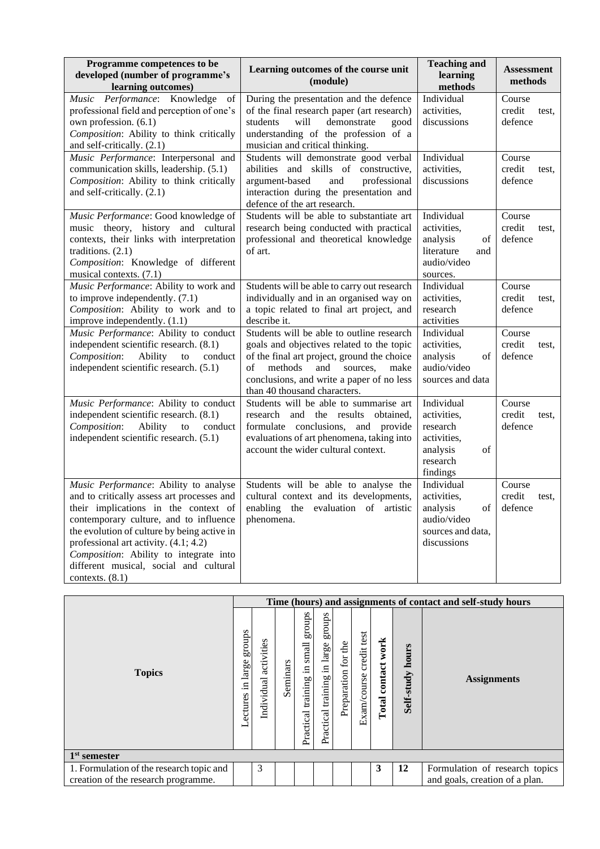| Programme competences to be<br>developed (number of programme's<br>learning outcomes)                                                                                                                                                                                                                                                                                  | Learning outcomes of the course unit<br>(module)                                                                                                                                                                                                               | <b>Teaching and</b><br>learning<br>methods                                                     | <b>Assessment</b><br>methods         |
|------------------------------------------------------------------------------------------------------------------------------------------------------------------------------------------------------------------------------------------------------------------------------------------------------------------------------------------------------------------------|----------------------------------------------------------------------------------------------------------------------------------------------------------------------------------------------------------------------------------------------------------------|------------------------------------------------------------------------------------------------|--------------------------------------|
| Music Performance: Knowledge<br>of<br>professional field and perception of one's<br>own profession. (6.1)<br>Composition: Ability to think critically<br>and self-critically. (2.1)                                                                                                                                                                                    | During the presentation and the defence<br>of the final research paper (art research)<br>demonstrate<br>students<br>will<br>good<br>understanding of the profession of a<br>musician and critical thinking.                                                    | Individual<br>activities,<br>discussions                                                       | Course<br>credit<br>test,<br>defence |
| Music Performance: Interpersonal and<br>communication skills, leadership. (5.1)<br>Composition: Ability to think critically<br>and self-critically. (2.1)                                                                                                                                                                                                              | Students will demonstrate good verbal<br>abilities and skills of constructive,<br>argument-based<br>and<br>professional<br>interaction during the presentation and<br>defence of the art research.                                                             | Individual<br>activities,<br>discussions                                                       | Course<br>credit<br>test,<br>defence |
| Music Performance: Good knowledge of<br>music theory, history and cultural<br>contexts, their links with interpretation<br>traditions. $(2.1)$<br>Composition: Knowledge of different<br>musical contexts. (7.1)                                                                                                                                                       | Students will be able to substantiate art<br>research being conducted with practical<br>professional and theoretical knowledge<br>of art.                                                                                                                      | Individual<br>activities,<br>analysis<br>of<br>literature<br>and<br>audio/video<br>sources.    | Course<br>credit<br>test,<br>defence |
| Music Performance: Ability to work and<br>to improve independently. $(7.1)$<br>Composition: Ability to work and to<br>improve independently. (1.1)                                                                                                                                                                                                                     | Students will be able to carry out research<br>individually and in an organised way on<br>a topic related to final art project, and<br>describe it.                                                                                                            | Individual<br>activities,<br>research<br>activities                                            | Course<br>credit<br>test,<br>defence |
| Music Performance: Ability to conduct<br>independent scientific research. (8.1)<br>Composition:<br>Ability<br>to<br>conduct<br>independent scientific research. (5.1)                                                                                                                                                                                                  | Students will be able to outline research<br>goals and objectives related to the topic<br>of the final art project, ground the choice<br>methods<br>and<br>of<br>sources,<br>make<br>conclusions, and write a paper of no less<br>than 40 thousand characters. | Individual<br>activities,<br>analysis<br>of<br>audio/video<br>sources and data                 | Course<br>credit<br>test,<br>defence |
| Music Performance: Ability to conduct<br>independent scientific research. (8.1)<br>Composition:<br>Ability<br>to<br>conduct<br>independent scientific research. (5.1)                                                                                                                                                                                                  | Students will be able to summarise art<br>research and the results<br>obtained,<br>formulate conclusions, and provide<br>evaluations of art phenomena, taking into<br>account the wider cultural context.                                                      | Individual<br>activities,<br>research<br>activities,<br>analysis<br>of<br>research<br>findings | Course<br>credit<br>test,<br>defence |
| Music Performance: Ability to analyse<br>and to critically assess art processes and<br>their implications in the context of<br>contemporary culture, and to influence<br>the evolution of culture by being active in<br>professional art activity. (4.1; 4.2)<br>Composition: Ability to integrate into<br>different musical, social and cultural<br>contexts. $(8.1)$ | Students will be able to analyse the<br>cultural context and its developments,<br>enabling the evaluation of artistic<br>phenomena.                                                                                                                            | Individual<br>activities,<br>of<br>analysis<br>audio/video<br>sources and data,<br>discussions | Course<br>credit<br>test,<br>defence |

|                                          |                                  |                          |          |                                                |                                                 |                           |                               |                          |                     | Time (hours) and assignments of contact and self-study hours |
|------------------------------------------|----------------------------------|--------------------------|----------|------------------------------------------------|-------------------------------------------------|---------------------------|-------------------------------|--------------------------|---------------------|--------------------------------------------------------------|
| <b>Topics</b>                            | sdnora<br>large<br>드.<br>ectures | activities<br>Individual | Seminars | groups<br>small<br>크.<br>training<br>Practical | sdno.fa<br>large<br>Ξ.<br>training<br>Practical | the<br>for<br>Preparation | test<br>credit<br>Exam/course | work<br>contact<br>Total | hours<br>Self-study | <b>Assignments</b>                                           |
| 1 <sup>st</sup> semester                 |                                  |                          |          |                                                |                                                 |                           |                               |                          |                     |                                                              |
| 1. Formulation of the research topic and |                                  | 3                        |          |                                                |                                                 |                           |                               | 3                        | 12                  | Formulation of research topics                               |
| creation of the research programme.      |                                  |                          |          |                                                |                                                 |                           |                               |                          |                     | and goals, creation of a plan.                               |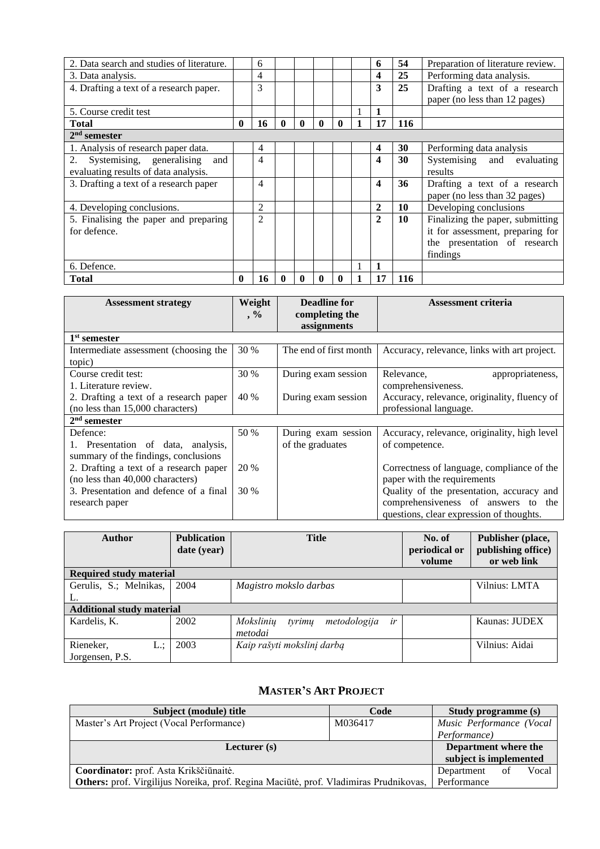| 2. Data search and studies of literature. |              | 6              |              |              |              |              | 6                       | 54  | Preparation of literature review. |
|-------------------------------------------|--------------|----------------|--------------|--------------|--------------|--------------|-------------------------|-----|-----------------------------------|
| 3. Data analysis.                         |              | 4              |              |              |              |              | 4                       | 25  | Performing data analysis.         |
| 4. Drafting a text of a research paper.   |              | 3              |              |              |              |              | 3                       | 25  | Drafting a text of a research     |
|                                           |              |                |              |              |              |              |                         |     | paper (no less than 12 pages)     |
| 5. Course credit test                     |              |                |              |              |              |              | 1                       |     |                                   |
| <b>Total</b>                              | $\mathbf{0}$ | 16             | $\mathbf{0}$ | $\mathbf{0}$ | $\mathbf{0}$ | $\mathbf{0}$ | 17                      | 116 |                                   |
| $2nd$ semester                            |              |                |              |              |              |              |                         |     |                                   |
| 1. Analysis of research paper data.       |              | 4              |              |              |              |              | $\overline{\mathbf{4}}$ | 30  | Performing data analysis          |
| 2. Systemising, generalising<br>and       |              | 4              |              |              |              |              | $\boldsymbol{4}$        | 30  | Systemising and<br>evaluating     |
| evaluating results of data analysis.      |              |                |              |              |              |              |                         |     | results                           |
| 3. Drafting a text of a research paper    |              | 4              |              |              |              |              | 4                       | 36  | Drafting a text of a research     |
|                                           |              |                |              |              |              |              |                         |     | paper (no less than 32 pages)     |
| 4. Developing conclusions.                |              | $\overline{c}$ |              |              |              |              | $\mathbf{2}$            | 10  | Developing conclusions            |
| 5. Finalising the paper and preparing     |              | $\overline{2}$ |              |              |              |              | $\overline{2}$          | 10  | Finalizing the paper, submitting  |
| for defence.                              |              |                |              |              |              |              |                         |     | it for assessment, preparing for  |
|                                           |              |                |              |              |              |              |                         |     | the presentation of research      |
|                                           |              |                |              |              |              |              |                         |     | findings                          |
| 6. Defence.                               |              |                |              |              |              |              | 1                       |     |                                   |
| <b>Total</b>                              | $\mathbf{0}$ | 16             | $\mathbf{0}$ | $\mathbf{0}$ | 0            | $\mathbf{0}$ | 17                      | 116 |                                   |

| <b>Assessment strategy</b>             | Weight<br>$\cdot$ % | Deadline for<br>completing the | <b>Assessment criteria</b>                   |
|----------------------------------------|---------------------|--------------------------------|----------------------------------------------|
|                                        |                     | assignments                    |                                              |
| 1 <sup>st</sup> semester               |                     |                                |                                              |
| Intermediate assessment (choosing the  | 30 %                | The end of first month         | Accuracy, relevance, links with art project. |
| topic)                                 |                     |                                |                                              |
| Course credit test:                    | 30 %                | During exam session            | Relevance,<br>appropriateness,               |
| 1. Literature review.                  |                     |                                | comprehensiveness.                           |
| 2. Drafting a text of a research paper | 40 %                | During exam session            | Accuracy, relevance, originality, fluency of |
| (no less than 15,000 characters)       |                     |                                | professional language.                       |
| $2nd$ semester                         |                     |                                |                                              |
| Defence:                               | 50 %                | During exam session            | Accuracy, relevance, originality, high level |
| 1. Presentation of data, analysis,     |                     | of the graduates               | of competence.                               |
| summary of the findings, conclusions   |                     |                                |                                              |
| 2. Drafting a text of a research paper | 20 %                |                                | Correctness of language, compliance of the   |
| (no less than 40,000 characters)       |                     |                                | paper with the requirements                  |
| 3. Presentation and defence of a final | 30 %                |                                | Quality of the presentation, accuracy and    |
| research paper                         |                     |                                | comprehensiveness of answers to<br>the       |
|                                        |                     |                                | questions, clear expression of thoughts.     |

| <b>Author</b>                    | <b>Publication</b><br>date (year) | <b>Title</b>                              | No. of<br>periodical or<br>volume | Publisher (place,<br>publishing office)<br>or web link |
|----------------------------------|-----------------------------------|-------------------------------------------|-----------------------------------|--------------------------------------------------------|
| <b>Required study material</b>   |                                   |                                           |                                   |                                                        |
| Gerulis, S.; Melnikas,           | 2004                              | Magistro mokslo darbas                    |                                   | Vilnius: LMTA                                          |
|                                  |                                   |                                           |                                   |                                                        |
| <b>Additional study material</b> |                                   |                                           |                                   |                                                        |
| Kardelis, K.                     | 2002                              | Mokslinių<br>tyrimų<br>metodologija<br>ir |                                   | Kaunas: JUDEX                                          |
|                                  |                                   | metodai                                   |                                   |                                                        |
| Rieneker,<br>L.:                 | 2003                              | Kaip rašyti mokslinį darbą                |                                   | Vilnius: Aidai                                         |
| Jorgensen, P.S.                  |                                   |                                           |                                   |                                                        |

# **MASTER'S ART PROJECT**

<span id="page-19-0"></span>

| Subject (module) title                                                                | Code                 | <b>Study programme (s)</b> |       |  |
|---------------------------------------------------------------------------------------|----------------------|----------------------------|-------|--|
| Master's Art Project (Vocal Performance)                                              | M036417              | Music Performance (Vocal   |       |  |
|                                                                                       |                      | Performance)               |       |  |
| Lecturer $(s)$                                                                        | Department where the |                            |       |  |
|                                                                                       |                      | subject is implemented     |       |  |
| Coordinator: prof. Asta Krikščiūnaitė.                                                | Department           | -of                        | Vocal |  |
| Others: prof. Virgilijus Noreika, prof. Regina Maciūtė, prof. Vladimiras Prudnikovas, | Performance          |                            |       |  |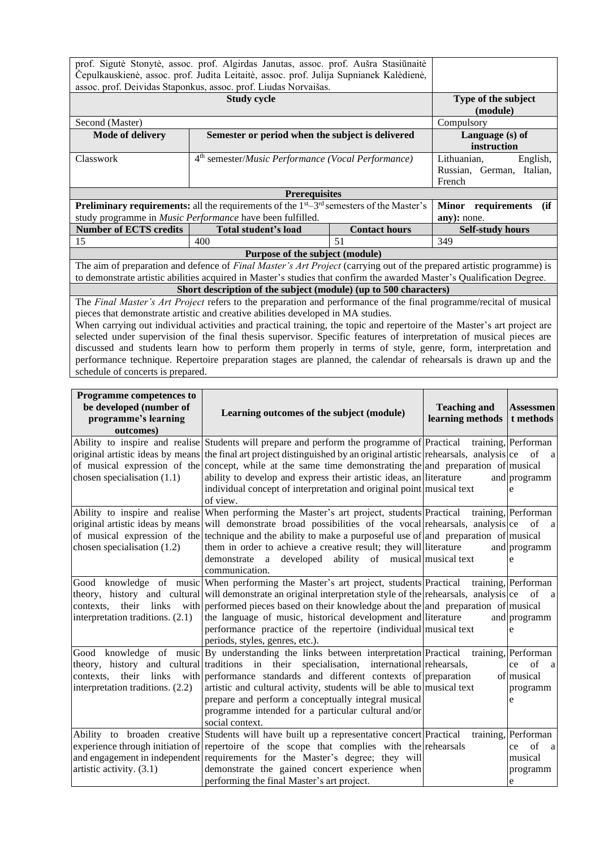|                                                                                        | prof. Sigutė Stonytė, assoc. prof. Algirdas Janutas, assoc. prof. Aušra Stasiūnaitė                                          |                      |                           |  |  |  |  |  |  |
|----------------------------------------------------------------------------------------|------------------------------------------------------------------------------------------------------------------------------|----------------------|---------------------------|--|--|--|--|--|--|
| Čepulkauskienė, assoc. prof. Judita Leitaitė, assoc. prof. Julija Supnianek Kalėdienė, |                                                                                                                              |                      |                           |  |  |  |  |  |  |
| assoc. prof. Deividas Staponkus, assoc. prof. Liudas Norvaišas.                        |                                                                                                                              |                      |                           |  |  |  |  |  |  |
|                                                                                        | <b>Study cycle</b>                                                                                                           |                      | Type of the subject       |  |  |  |  |  |  |
|                                                                                        |                                                                                                                              |                      | (module)                  |  |  |  |  |  |  |
| Second (Master)                                                                        |                                                                                                                              |                      | Compulsory                |  |  |  |  |  |  |
| <b>Mode of delivery</b>                                                                | Semester or period when the subject is delivered                                                                             |                      | Language (s) of           |  |  |  |  |  |  |
|                                                                                        |                                                                                                                              |                      | instruction               |  |  |  |  |  |  |
| Classwork                                                                              | 4 <sup>th</sup> semester/ <i>Music Performance</i> (Vocal Performance)                                                       |                      | Lithuanian,<br>English,   |  |  |  |  |  |  |
|                                                                                        |                                                                                                                              |                      | Russian, German, Italian, |  |  |  |  |  |  |
|                                                                                        |                                                                                                                              |                      | French                    |  |  |  |  |  |  |
| <b>Prerequisites</b>                                                                   |                                                                                                                              |                      |                           |  |  |  |  |  |  |
|                                                                                        | <b>Preliminary requirements:</b> all the requirements of the $1st - 3rd$ semesters of the Master's                           |                      | Minor requirements<br>(if |  |  |  |  |  |  |
|                                                                                        | study programme in Music Performance have been fulfilled.                                                                    |                      | any): none.               |  |  |  |  |  |  |
| <b>Number of ECTS credits</b>                                                          | Total student's load                                                                                                         | <b>Contact hours</b> | <b>Self-study hours</b>   |  |  |  |  |  |  |
| 15                                                                                     | 400                                                                                                                          | 51                   | 349                       |  |  |  |  |  |  |
|                                                                                        | Purpose of the subject (module)                                                                                              |                      |                           |  |  |  |  |  |  |
|                                                                                        | The aim of preparation and defence of <i>Final Master's Art Project</i> (carrying out of the prepared artistic programme) is |                      |                           |  |  |  |  |  |  |
|                                                                                        | to demonstrate artistic abilities acquired in Master's studies that confirm the awarded Master's Qualification Degree.       |                      |                           |  |  |  |  |  |  |
|                                                                                        | Short description of the subject (module) (up to 500 characters)                                                             |                      |                           |  |  |  |  |  |  |
|                                                                                        | The Final Master's Art Project refers to the preparation and performance of the final programme/recital of musical           |                      |                           |  |  |  |  |  |  |
| pieces that demonstrate artistic and creative abilities developed in MA studies.       |                                                                                                                              |                      |                           |  |  |  |  |  |  |
|                                                                                        | When carrying out individual activities and practical training, the topic and repertoire of the Master's art project are     |                      |                           |  |  |  |  |  |  |
|                                                                                        | selected under supervision of the final thesis supervisor. Specific features of interpretation of musical pieces are         |                      |                           |  |  |  |  |  |  |
|                                                                                        | discussed and students learn how to perform them properly in terms of style, genre, form, interpretation and                 |                      |                           |  |  |  |  |  |  |
|                                                                                        | performance technique. Repertoire preparation stages are planned, the calendar of rehearsals is drawn up and the             |                      |                           |  |  |  |  |  |  |

schedule of concerts is prepared.

**Programme competences to be developed (number of programme's learning outcomes) Learning outcomes of the subject (module) Teaching and learning methods Assessmen t methods** Ability to inspire and realise original artistic ideas by means of musical expression of the chosen specialisation (1.1) Students will prepare and perform the programme of Practical the final art project distinguished by an original artistic rehearsals, analysis ce of a concept, while at the same time demonstrating the and preparation of musical ability to develop and express their artistic ideas, an literature and individual concept of interpretation and original point musical text of view. Practical training, Performan programm e Ability to inspire and realise original artistic ideas by means of musical expression of the chosen specialisation (1.2) When performing the Master's art project, students Practical training, Performan will demonstrate broad possibilities of the vocal rehearsals, analysis ce of a technique and the ability to make a purposeful use of and preparation of musical them in order to achieve a creative result; they will literature and demonstrate a developed ability of musical musical text communication. and programm e Good knowledge of music theory, history and cultural contexts, their links with interpretation traditions. (2.1) When performing the Master's art project, students will demonstrate an original interpretation style of the rehearsals, analysis ce of a performed pieces based on their knowledge about the the language of music, historical development and performance practice of the repertoire (individual periods, styles, genres, etc.). Practical training, Performan and preparation of musical literature musical text and programm e Good knowledge of music theory, history and cultural contexts, their links with interpretation traditions. (2.2) By understanding the links between interpretation traditions in their specialisation, international rehearsals, performance standards and different contexts of preparation of artistic and cultural activity, students will be able to musical text prepare and perform a conceptually integral musical programme intended for a particular cultural and/or social context. Practical training, Performan ce of musical programm e Ability to broaden creative experience through initiation of and engagement in independent artistic activity. (3.1) Students will have built up a representative concert Practical repertoire of the scope that complies with the rehearsals requirements for the Master's degree; they will demonstrate the gained concert experience when performing the final Master's art project. Practical training, Performan ce of a musical programm e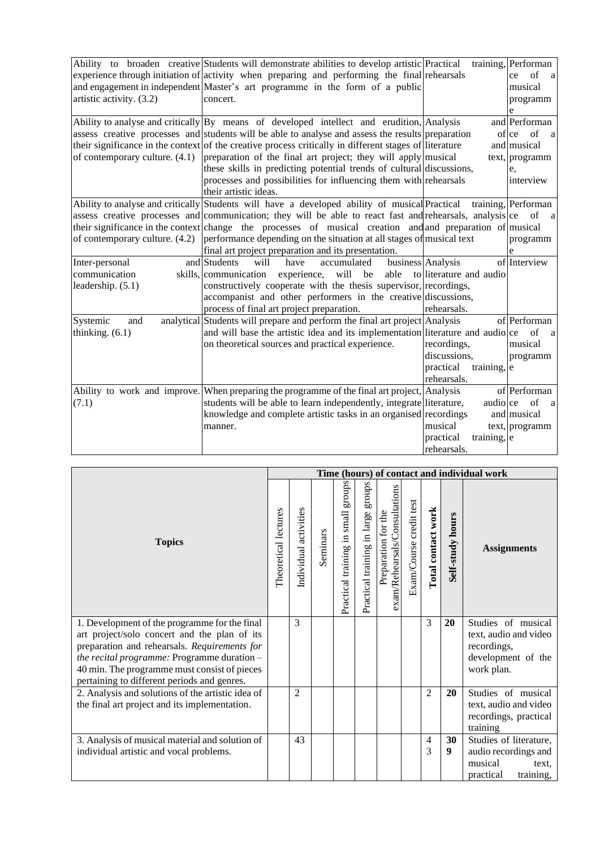|                                  | Ability to broaden creative Students will demonstrate abilities to develop artistic Practical             |                              | training, Performan         |
|----------------------------------|-----------------------------------------------------------------------------------------------------------|------------------------------|-----------------------------|
|                                  | experience through initiation of activity when preparing and performing the final rehearsals              |                              | of<br>ce<br>a               |
|                                  | and engagement in independent Master's art programme in the form of a public                              |                              | musical                     |
| artistic activity. (3.2)         | concert.                                                                                                  |                              | programm                    |
|                                  |                                                                                                           |                              | e                           |
|                                  | Ability to analyse and critically By means of developed intellect and erudition, Analysis                 |                              | and Performan               |
|                                  | assess creative processes and students will be able to analyse and assess the results preparation         |                              | of ce<br>of<br><sub>a</sub> |
|                                  | their significance in the context of the creative process critically in different stages of literature    |                              | and musical                 |
| of contemporary culture. $(4.1)$ | preparation of the final art project; they will apply musical                                             |                              | text, programm              |
|                                  | these skills in predicting potential trends of cultural discussions,                                      |                              | e,                          |
|                                  | processes and possibilities for influencing them with rehearsals                                          |                              | interview                   |
|                                  | their artistic ideas.                                                                                     |                              |                             |
|                                  | Ability to analyse and critically Students will have a developed ability of musical Practical             |                              | training, Performan         |
|                                  | assess creative processes and communication; they will be able to react fast and rehearsals, analysis ce  |                              | of<br>a                     |
|                                  | their significance in the context change the processes of musical creation and and preparation of musical |                              |                             |
| of contemporary culture. (4.2)   | performance depending on the situation at all stages of musical text                                      |                              | programm                    |
|                                  | final art project preparation and its presentation.                                                       |                              | e                           |
| Inter-personal                   | and Students<br>will<br>have<br>accumulated                                                               | business Analysis            | of Interview                |
| communication                    | experience,<br>will be<br>able<br>skills, communication                                                   | to literature and audio      |                             |
| leadership. $(5.1)$              | constructively cooperate with the thesis supervisor, recordings,                                          |                              |                             |
|                                  | accompanist and other performers in the creative discussions,                                             |                              |                             |
|                                  | process of final art project preparation.                                                                 | rehearsals.                  |                             |
| Systemic<br>and                  | analytical Students will prepare and perform the final art project Analysis                               |                              | of Performan                |
| thinking. $(6.1)$                | and will base the artistic idea and its implementation literature and audio ce                            |                              | of<br>a                     |
|                                  | on theoretical sources and practical experience.                                                          | recordings,                  | musical                     |
|                                  |                                                                                                           | discussions.                 | programm                    |
|                                  |                                                                                                           | practical<br>training, $ e $ |                             |
|                                  |                                                                                                           | rehearsals.                  |                             |
|                                  | Ability to work and improve. When preparing the programme of the final art project, Analysis              |                              | of Performan                |
| (7.1)                            | students will be able to learn independently, integrate literature,                                       | audioce                      | of<br>a                     |
|                                  | knowledge and complete artistic tasks in an organised recordings                                          |                              | and musical                 |
|                                  | manner.                                                                                                   | musical                      | $text,$ programm            |
|                                  |                                                                                                           | practical<br>training, e     |                             |
|                                  |                                                                                                           | rehearsals.                  |                             |

|                                                                                               |                      |                       |          |                                       |                                       |                                                      |                         |                    |                  | Time (hours) of contact and individual work    |
|-----------------------------------------------------------------------------------------------|----------------------|-----------------------|----------|---------------------------------------|---------------------------------------|------------------------------------------------------|-------------------------|--------------------|------------------|------------------------------------------------|
| <b>Topics</b>                                                                                 | Theoretical lectures | Individual activities | Seminars | groups<br>Practical training in small | sdnora<br>Practical training in large | exam/Rehearsals/Consultations<br>Preparation for the | Exam/Course credit test | Total contact work | Self-study hours | <b>Assignments</b>                             |
| 1. Development of the programme for the final<br>art project/solo concert and the plan of its |                      | 3                     |          |                                       |                                       |                                                      |                         | 3                  | 20               | Studies of musical<br>text, audio and video    |
| preparation and rehearsals. Requirements for<br>the recital programme: Programme duration -   |                      |                       |          |                                       |                                       |                                                      |                         |                    |                  | recordings,<br>development of the              |
| 40 min. The programme must consist of pieces<br>pertaining to different periods and genres.   |                      |                       |          |                                       |                                       |                                                      |                         |                    |                  | work plan.                                     |
| 2. Analysis and solutions of the artistic idea of                                             |                      | 2                     |          |                                       |                                       |                                                      |                         | $\overline{2}$     | 20               | Studies of musical                             |
| the final art project and its implementation.                                                 |                      |                       |          |                                       |                                       |                                                      |                         |                    |                  | text, audio and video<br>recordings, practical |
|                                                                                               |                      |                       |          |                                       |                                       |                                                      |                         |                    |                  | training                                       |
| 3. Analysis of musical material and solution of                                               |                      | 43                    |          |                                       |                                       |                                                      |                         | 4                  | 30               | Studies of literature,                         |
| individual artistic and vocal problems.                                                       |                      |                       |          |                                       |                                       |                                                      |                         | 3                  | 9                | audio recordings and                           |
|                                                                                               |                      |                       |          |                                       |                                       |                                                      |                         |                    |                  | musical<br>text.                               |
|                                                                                               |                      |                       |          |                                       |                                       |                                                      |                         |                    |                  | training,<br>practical                         |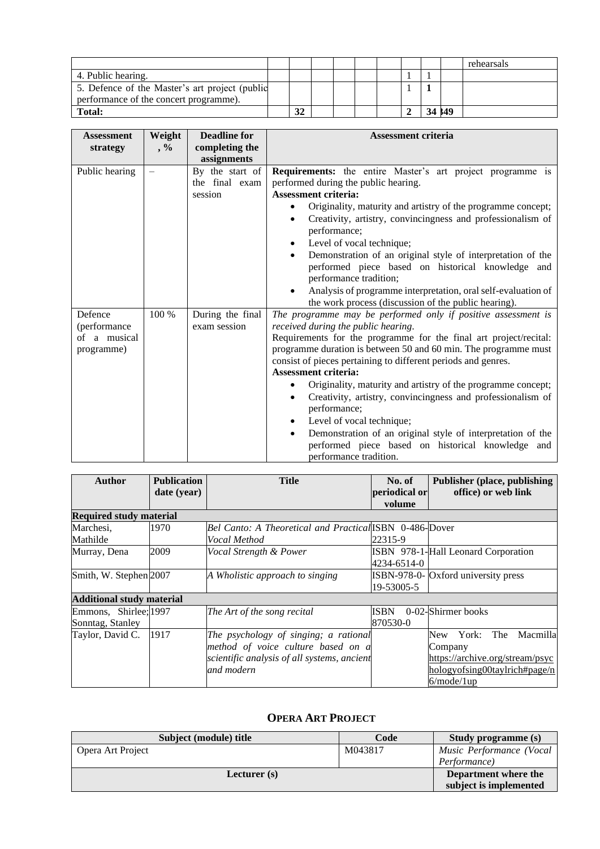|                                                |  |  |  |        | rehearsals |
|------------------------------------------------|--|--|--|--------|------------|
| 4. Public hearing.                             |  |  |  |        |            |
| 5. Defence of the Master's art project (public |  |  |  |        |            |
| performance of the concert programme).         |  |  |  |        |            |
| <b>Total:</b>                                  |  |  |  | 34 149 |            |

| <b>Assessment</b>                                     | Weight | <b>Deadline for</b>                          | <b>Assessment criteria</b>                                                                                                                                                                                                                                                                                                                                                                                                                                                                                                                                                                                                                                                          |
|-------------------------------------------------------|--------|----------------------------------------------|-------------------------------------------------------------------------------------------------------------------------------------------------------------------------------------------------------------------------------------------------------------------------------------------------------------------------------------------------------------------------------------------------------------------------------------------------------------------------------------------------------------------------------------------------------------------------------------------------------------------------------------------------------------------------------------|
| strategy                                              | $, \%$ | completing the<br>assignments                |                                                                                                                                                                                                                                                                                                                                                                                                                                                                                                                                                                                                                                                                                     |
| Public hearing                                        |        | By the start of<br>the final exam<br>session | <b>Requirements:</b> the entire Master's art project programme is<br>performed during the public hearing.<br><b>Assessment criteria:</b><br>Originality, maturity and artistry of the programme concept;<br>$\bullet$<br>Creativity, artistry, convincingness and professionalism of<br>performance;<br>Level of vocal technique;<br>$\bullet$<br>Demonstration of an original style of interpretation of the<br>performed piece based on historical knowledge and<br>performance tradition;<br>Analysis of programme interpretation, oral self-evaluation of<br>the work process (discussion of the public hearing).                                                               |
| Defence<br>(performance<br>of a musical<br>programme) | 100 %  | During the final<br>exam session             | The programme may be performed only if positive assessment is<br>received during the public hearing.<br>Requirements for the programme for the final art project/recital:<br>programme duration is between 50 and 60 min. The programme must<br>consist of pieces pertaining to different periods and genres.<br><b>Assessment criteria:</b><br>Originality, maturity and artistry of the programme concept;<br>Creativity, artistry, convincingness and professionalism of<br>performance;<br>Level of vocal technique;<br>Demonstration of an original style of interpretation of the<br>$\bullet$<br>performed piece based on historical knowledge and<br>performance tradition. |

| <b>Author</b>                    | <b>Publication</b><br>date (year) | <b>Title</b>                                            | No. of<br>periodical or<br>volume | <b>Publisher (place, publishing)</b><br>office) or web link |
|----------------------------------|-----------------------------------|---------------------------------------------------------|-----------------------------------|-------------------------------------------------------------|
| <b>Required study material</b>   |                                   |                                                         |                                   |                                                             |
| Marchesi,                        | 1970                              | Bel Canto: A Theoretical and Practical ISBN 0-486-Dover |                                   |                                                             |
| Mathilde                         |                                   | Vocal Method                                            | 22315-9                           |                                                             |
| Murray, Dena                     | 2009                              | Vocal Strength & Power                                  |                                   | ISBN 978-1-Hall Leonard Corporation                         |
|                                  |                                   |                                                         | 4234-6514-0                       |                                                             |
| Smith, W. Stephen 2007           |                                   | A Wholistic approach to singing                         |                                   | <b>ISBN-978-0-</b> Oxford university press                  |
|                                  |                                   |                                                         | 19-53005-5                        |                                                             |
| <b>Additional study material</b> |                                   |                                                         |                                   |                                                             |
| Emmons, Shirlee; 1997            |                                   | The Art of the song recital                             | ISBN                              | 0-02-Shirmer books                                          |
| Sonntag, Stanley                 |                                   |                                                         | 870530-0                          |                                                             |
| Taylor, David C.                 | 1917                              | The psychology of singing; a rational                   |                                   | The<br>Macmilla<br>York:<br>New                             |
|                                  |                                   | method of voice culture based on a                      |                                   | Company                                                     |
|                                  |                                   | scientific analysis of all systems, ancient             |                                   | https://archive.org/stream/psyc                             |
|                                  |                                   | and modern                                              |                                   | hologyofsing00taylrich#page/n                               |
|                                  |                                   |                                                         |                                   | 6/mode/1up                                                  |

# **OPERA ART PROJECT**

<span id="page-22-0"></span>

| Subject (module) title | Code    | <b>Study programme (s)</b> |
|------------------------|---------|----------------------------|
| Opera Art Project      | M043817 | Music Performance (Vocal   |
|                        |         | Performance)               |
| Lecturer $(s)$         |         | Department where the       |
|                        |         | subject is implemented     |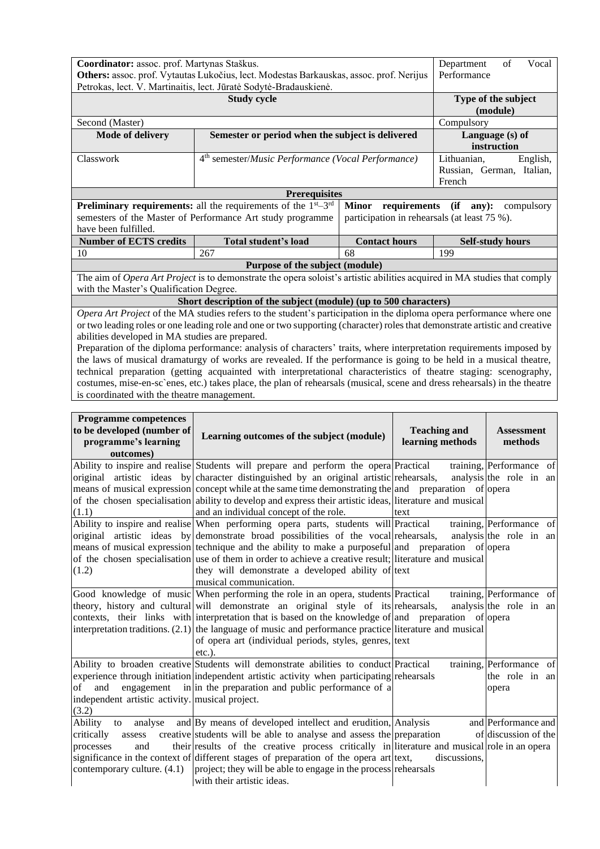|                                                                                         | Coordinator: assoc. prof. Martynas Staškus.                                                                                 |                                              |                           |  |  |  |  |
|-----------------------------------------------------------------------------------------|-----------------------------------------------------------------------------------------------------------------------------|----------------------------------------------|---------------------------|--|--|--|--|
| Others: assoc. prof. Vytautas Lukočius, lect. Modestas Barkauskas, assoc. prof. Nerijus | Department<br>Performance                                                                                                   |                                              |                           |  |  |  |  |
| Petrokas, lect. V. Martinaitis, lect. Jūratė Sodytė-Bradauskienė.                       |                                                                                                                             |                                              |                           |  |  |  |  |
|                                                                                         | Type of the subject                                                                                                         |                                              |                           |  |  |  |  |
|                                                                                         | (module)                                                                                                                    |                                              |                           |  |  |  |  |
| Second (Master)                                                                         | Compulsory                                                                                                                  |                                              |                           |  |  |  |  |
| <b>Mode of delivery</b>                                                                 | Semester or period when the subject is delivered                                                                            |                                              | Language (s) of           |  |  |  |  |
|                                                                                         |                                                                                                                             |                                              | instruction               |  |  |  |  |
| Classwork                                                                               | 4 <sup>th</sup> semester/Music Performance (Vocal Performance)                                                              |                                              | Lithuanian,<br>English,   |  |  |  |  |
|                                                                                         |                                                                                                                             |                                              | Russian, German, Italian, |  |  |  |  |
|                                                                                         |                                                                                                                             |                                              | French                    |  |  |  |  |
|                                                                                         | <b>Prerequisites</b>                                                                                                        |                                              |                           |  |  |  |  |
| <b>Preliminary requirements:</b> all the requirements of the $1^{st} - 3^{rd}$          | requirements<br>(ii)<br>$anV$ :<br>compulsory                                                                               |                                              |                           |  |  |  |  |
|                                                                                         | semesters of the Master of Performance Art study programme                                                                  | participation in rehearsals (at least 75 %). |                           |  |  |  |  |
| have been fulfilled.                                                                    |                                                                                                                             |                                              |                           |  |  |  |  |
|                                                                                         |                                                                                                                             |                                              |                           |  |  |  |  |
| <b>Number of ECTS credits</b>                                                           | Total student's load                                                                                                        | <b>Contact hours</b>                         | <b>Self-study hours</b>   |  |  |  |  |
| 10                                                                                      | 267                                                                                                                         | 68                                           | 199                       |  |  |  |  |
|                                                                                         | Purpose of the subject (module)                                                                                             |                                              |                           |  |  |  |  |
|                                                                                         | The aim of Opera Art Project is to demonstrate the opera soloist's artistic abilities acquired in MA studies that comply    |                                              |                           |  |  |  |  |
| with the Master's Qualification Degree.                                                 |                                                                                                                             |                                              |                           |  |  |  |  |
|                                                                                         | Short description of the subject (module) (up to 500 characters)                                                            |                                              |                           |  |  |  |  |
|                                                                                         | Opera Art Project of the MA studies refers to the student's participation in the diploma opera performance where one        |                                              |                           |  |  |  |  |
|                                                                                         | or two leading roles or one leading role and one or two supporting (character) roles that demonstrate artistic and creative |                                              |                           |  |  |  |  |
| abilities developed in MA studies are prepared.                                         |                                                                                                                             |                                              |                           |  |  |  |  |
|                                                                                         | Preparation of the diploma performance: analysis of characters' traits, where interpretation requirements imposed by        |                                              |                           |  |  |  |  |
|                                                                                         | the laws of musical dramaturgy of works are revealed. If the performance is going to be held in a musical theatre,          |                                              |                           |  |  |  |  |
|                                                                                         | technical preparation (getting acquainted with interpretational characteristics of theatre staging: scenography,            |                                              |                           |  |  |  |  |

is coordinated with the theatre management.

| <b>Programme competences</b><br>to be developed (number of<br>programme's learning<br>outcomes)       | Learning outcomes of the subject (module)                                                                                                                                                                                                                                                                                                                                                                                                                                  | <b>Teaching and</b><br>learning methods | <b>Assessment</b><br>methods                        |
|-------------------------------------------------------------------------------------------------------|----------------------------------------------------------------------------------------------------------------------------------------------------------------------------------------------------------------------------------------------------------------------------------------------------------------------------------------------------------------------------------------------------------------------------------------------------------------------------|-----------------------------------------|-----------------------------------------------------|
| (1.1)                                                                                                 | Ability to inspire and realise Students will prepare and perform the opera Practical<br>original artistic ideas by character distinguished by an original artistic rehearsals,<br>means of musical expression concept while at the same time demonstrating the and preparation of opera<br>of the chosen specialisation ability to develop and express their artistic ideas, literature and musical<br>and an individual concept of the role.                              | text                                    | training, Performance of<br>analysis the role in an |
| (1.2)                                                                                                 | Ability to inspire and realise When performing opera parts, students will Practical<br>original artistic ideas by demonstrate broad possibilities of the vocal rehearsals,<br>means of musical expression technique and the ability to make a purposeful and preparation of opera<br>of the chosen specialisation use of them in order to achieve a creative result; literature and musical<br>they will demonstrate a developed ability of text<br>musical communication. |                                         | training, Performance of<br>analysis the role in an |
|                                                                                                       | Good knowledge of music When performing the role in an opera, students Practical<br>theory, history and cultural will demonstrate an original style of its rehearsals,<br>contexts, their links with interpretation that is based on the knowledge of and preparation of opera<br>interpretation traditions. $(2.1)$ the language of music and performance practice literature and musical<br>of opera art (individual periods, styles, genres, text<br>$etc.$ ).          |                                         | training, Performance of<br>analysis the role in an |
| and<br>of<br>independent artistic activity. musical project.<br>(3.2)                                 | Ability to broaden creative Students will demonstrate abilities to conduct Practical<br>experience through initiation independent artistic activity when participating rehearsals<br>engagement in in the preparation and public performance of a                                                                                                                                                                                                                          |                                         | training, Performance of<br>the role in an<br>opera |
| Ability<br>analyse<br>to<br>critically<br>assess<br>and<br>processes<br>contemporary culture. $(4.1)$ | and By means of developed intellect and erudition, Analysis<br>creative students will be able to analyse and assess the preparation<br>their results of the creative process critically in literature and musical role in an opera<br>significance in the context of different stages of preparation of the opera art text,<br>project; they will be able to engage in the process rehearsals<br>with their artistic ideas.                                                | discussions,                            | and Performance and<br>of discussion of the         |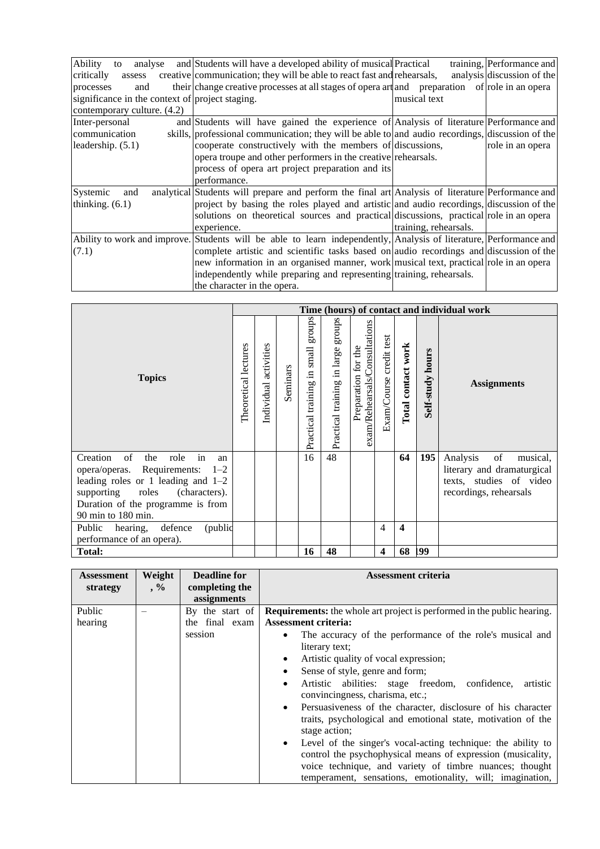| Ability<br>analyse<br>to                        | and Students will have a developed ability of musical Practical                                                    |                       | training, Performance and  |
|-------------------------------------------------|--------------------------------------------------------------------------------------------------------------------|-----------------------|----------------------------|
| critically<br>assess                            | creative communication; they will be able to react fast and rehearsals,                                            |                       | analysis discussion of the |
| processes<br>and                                | their change creative processes at all stages of opera art and preparation of role in an opera                     |                       |                            |
| significance in the context of project staging. |                                                                                                                    | musical text          |                            |
| contemporary culture. (4.2)                     |                                                                                                                    |                       |                            |
| Inter-personal                                  | and Students will have gained the experience of Analysis of literature Performance and                             |                       |                            |
| communication                                   | skills, professional communication; they will be able to and audio recordings, discussion of the                   |                       |                            |
| leadership. $(5.1)$                             | cooperate constructively with the members of discussions,                                                          |                       | role in an opera           |
|                                                 | opera troupe and other performers in the creative rehearsals.                                                      |                       |                            |
|                                                 | process of opera art project preparation and its                                                                   |                       |                            |
|                                                 | performance.                                                                                                       |                       |                            |
| Systemic<br>and                                 | analytical Students will prepare and perform the final art Analysis of literature Performance and                  |                       |                            |
| thinking. $(6.1)$                               | project by basing the roles played and artistic and audio recordings, discussion of the                            |                       |                            |
|                                                 | solutions on theoretical sources and practical discussions, practical role in an opera                             |                       |                            |
|                                                 | experience.                                                                                                        | training, rehearsals. |                            |
|                                                 | Ability to work and improve. Students will be able to learn independently, Analysis of literature, Performance and |                       |                            |
| (7.1)                                           | complete artistic and scientific tasks based on audio recordings and discussion of the                             |                       |                            |
|                                                 | new information in an organised manner, work musical text, practical role in an opera                              |                       |                            |
|                                                 | independently while preparing and representing training, rehearsals.                                               |                       |                            |
|                                                 | the character in the opera.                                                                                        |                       |                            |

| <b>Topics</b>                                                                                                                                                                                                        |  |                       |          |                                                                 |                                       |                                                      |                         |                    |                     | Time (hours) of contact and individual work                                                                   |
|----------------------------------------------------------------------------------------------------------------------------------------------------------------------------------------------------------------------|--|-----------------------|----------|-----------------------------------------------------------------|---------------------------------------|------------------------------------------------------|-------------------------|--------------------|---------------------|---------------------------------------------------------------------------------------------------------------|
|                                                                                                                                                                                                                      |  | Individual activities | Seminars | groups<br>small<br>르.<br>$\operatorname{training}$<br>Practical | stonbs<br>Practical training in large | exam/Rehearsals/Consultations<br>Preparation for the | Exam/Course credit test | Total contact work | hours<br>Self-study | <b>Assignments</b>                                                                                            |
| in<br>of<br>Creation<br>the<br>role<br>an<br>opera/operas. Requirements: 1-2<br>leading roles or 1 leading and $1-2$<br>supporting roles<br>(characters).<br>Duration of the programme is from<br>90 min to 180 min. |  |                       |          | 16                                                              | 48                                    |                                                      |                         | 64                 | 195                 | of<br>Analysis<br>musical,<br>literary and dramaturgical<br>texts, studies of video<br>recordings, rehearsals |
| (public<br>Public<br>defence<br>hearing,<br>performance of an opera).                                                                                                                                                |  |                       |          |                                                                 |                                       |                                                      | $\overline{4}$          | 4                  |                     |                                                                                                               |
| <b>Total:</b>                                                                                                                                                                                                        |  |                       |          | 16                                                              | 48                                    |                                                      | $\overline{\mathbf{4}}$ | 68                 | 199                 |                                                                                                               |

| <b>Assessment</b><br>strategy | Weight<br>$, \%$ | <b>Deadline for</b><br>completing the | <b>Assessment criteria</b>                                                                                                                                                                                                                          |
|-------------------------------|------------------|---------------------------------------|-----------------------------------------------------------------------------------------------------------------------------------------------------------------------------------------------------------------------------------------------------|
|                               |                  | assignments                           |                                                                                                                                                                                                                                                     |
| Public                        |                  | By the start of                       | <b>Requirements:</b> the whole art project is performed in the public hearing.                                                                                                                                                                      |
| hearing                       |                  | the final exam                        | <b>Assessment criteria:</b>                                                                                                                                                                                                                         |
|                               |                  | session                               | The accuracy of the performance of the role's musical and                                                                                                                                                                                           |
|                               |                  |                                       | literary text;                                                                                                                                                                                                                                      |
|                               |                  |                                       | Artistic quality of vocal expression;                                                                                                                                                                                                               |
|                               |                  |                                       | Sense of style, genre and form;                                                                                                                                                                                                                     |
|                               |                  |                                       | Artistic abilities: stage freedom, confidence,<br>artistic<br>$\bullet$<br>convincingness, charisma, etc.;                                                                                                                                          |
|                               |                  |                                       | Persuasiveness of the character, disclosure of his character<br>traits, psychological and emotional state, motivation of the<br>stage action;                                                                                                       |
|                               |                  |                                       | Level of the singer's vocal-acting technique: the ability to<br>control the psychophysical means of expression (musicality,<br>voice technique, and variety of timbre nuances; thought<br>temperament, sensations, emotionality, will; imagination, |